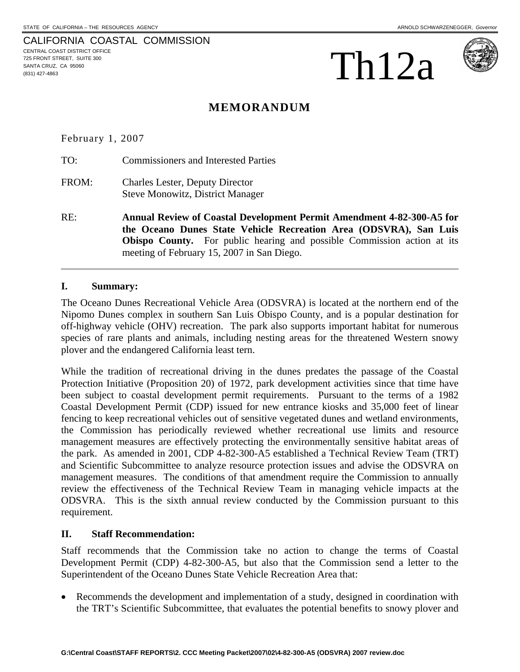CALIFORNIA COASTAL COMMISSION CENTRAL COAST DISTRICT OFFICE 725 FRONT STREET, SUITE 300 SANTA CRUZ, CA 95060  $\sum_{\text{SANTA CRUZ, CA 95060}}$ 





# **MEMORANDUM**

February 1, 2007

TO: Commissioners and Interested Parties

- FROM: Charles Lester, Deputy Director Steve Monowitz, District Manager
- RE: **Annual Review of Coastal Development Permit Amendment 4-82-300-A5 for the Oceano Dunes State Vehicle Recreation Area (ODSVRA), San Luis Obispo County.** For public hearing and possible Commission action at its meeting of February 15, 2007 in San Diego.

# **I. Summary:**

 $\overline{a}$ 

The Oceano Dunes Recreational Vehicle Area (ODSVRA) is located at the northern end of the Nipomo Dunes complex in southern San Luis Obispo County, and is a popular destination for off-highway vehicle (OHV) recreation. The park also supports important habitat for numerous species of rare plants and animals, including nesting areas for the threatened Western snowy plover and the endangered California least tern.

While the tradition of recreational driving in the dunes predates the passage of the Coastal Protection Initiative (Proposition 20) of 1972, park development activities since that time have been subject to coastal development permit requirements. Pursuant to the terms of a 1982 Coastal Development Permit (CDP) issued for new entrance kiosks and 35,000 feet of linear fencing to keep recreational vehicles out of sensitive vegetated dunes and wetland environments, the Commission has periodically reviewed whether recreational use limits and resource management measures are effectively protecting the environmentally sensitive habitat areas of the park. As amended in 2001, CDP 4-82-300-A5 established a Technical Review Team (TRT) and Scientific Subcommittee to analyze resource protection issues and advise the ODSVRA on management measures. The conditions of that amendment require the Commission to annually review the effectiveness of the Technical Review Team in managing vehicle impacts at the ODSVRA. This is the sixth annual review conducted by the Commission pursuant to this requirement.

# **II. Staff Recommendation:**

Staff recommends that the Commission take no action to change the terms of Coastal Development Permit (CDP) 4-82-300-A5, but also that the Commission send a letter to the Superintendent of the Oceano Dunes State Vehicle Recreation Area that:

• Recommends the development and implementation of a study, designed in coordination with the TRT's Scientific Subcommittee, that evaluates the potential benefits to snowy plover and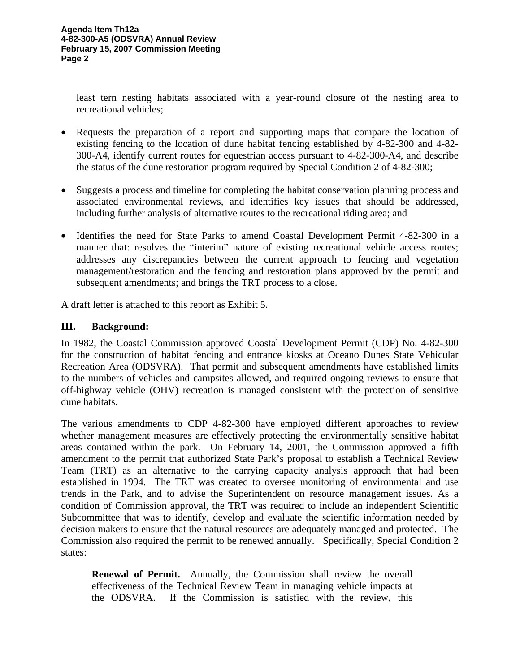least tern nesting habitats associated with a year-round closure of the nesting area to recreational vehicles;

- Requests the preparation of a report and supporting maps that compare the location of existing fencing to the location of dune habitat fencing established by 4-82-300 and 4-82- 300-A4, identify current routes for equestrian access pursuant to 4-82-300-A4, and describe the status of the dune restoration program required by Special Condition 2 of 4-82-300;
- Suggests a process and timeline for completing the habitat conservation planning process and associated environmental reviews, and identifies key issues that should be addressed, including further analysis of alternative routes to the recreational riding area; and
- Identifies the need for State Parks to amend Coastal Development Permit 4-82-300 in a manner that: resolves the "interim" nature of existing recreational vehicle access routes; addresses any discrepancies between the current approach to fencing and vegetation management/restoration and the fencing and restoration plans approved by the permit and subsequent amendments; and brings the TRT process to a close.

A draft letter is attached to this report as Exhibit 5.

# **III. Background:**

In 1982, the Coastal Commission approved Coastal Development Permit (CDP) No. 4-82-300 for the construction of habitat fencing and entrance kiosks at Oceano Dunes State Vehicular Recreation Area (ODSVRA). That permit and subsequent amendments have established limits to the numbers of vehicles and campsites allowed, and required ongoing reviews to ensure that off-highway vehicle (OHV) recreation is managed consistent with the protection of sensitive dune habitats.

The various amendments to CDP 4-82-300 have employed different approaches to review whether management measures are effectively protecting the environmentally sensitive habitat areas contained within the park. On February 14, 2001, the Commission approved a fifth amendment to the permit that authorized State Park's proposal to establish a Technical Review Team (TRT) as an alternative to the carrying capacity analysis approach that had been established in 1994. The TRT was created to oversee monitoring of environmental and use trends in the Park, and to advise the Superintendent on resource management issues. As a condition of Commission approval, the TRT was required to include an independent Scientific Subcommittee that was to identify, develop and evaluate the scientific information needed by decision makers to ensure that the natural resources are adequately managed and protected. The Commission also required the permit to be renewed annually. Specifically, Special Condition 2 states:

**Renewal of Permit.** Annually, the Commission shall review the overall effectiveness of the Technical Review Team in managing vehicle impacts at the ODSVRA. If the Commission is satisfied with the review, this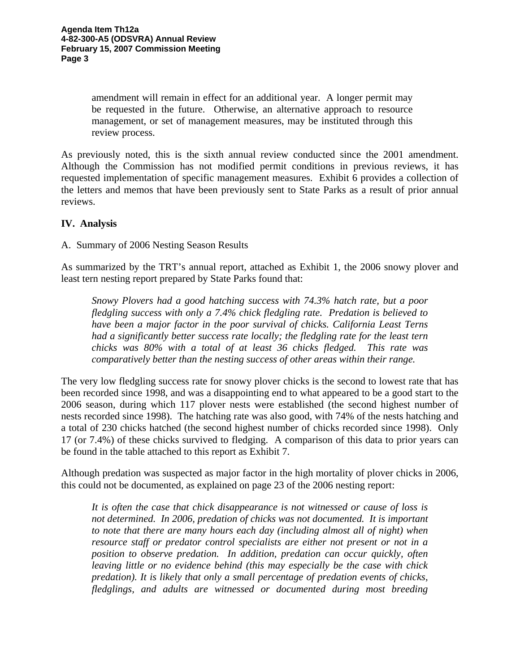amendment will remain in effect for an additional year. A longer permit may be requested in the future. Otherwise, an alternative approach to resource management, or set of management measures, may be instituted through this review process.

As previously noted, this is the sixth annual review conducted since the 2001 amendment. Although the Commission has not modified permit conditions in previous reviews, it has requested implementation of specific management measures. Exhibit 6 provides a collection of the letters and memos that have been previously sent to State Parks as a result of prior annual reviews.

# **IV. Analysis**

A. Summary of 2006 Nesting Season Results

As summarized by the TRT's annual report, attached as Exhibit 1, the 2006 snowy plover and least tern nesting report prepared by State Parks found that:

*Snowy Plovers had a good hatching success with 74.3% hatch rate, but a poor fledgling success with only a 7.4% chick fledgling rate. Predation is believed to have been a major factor in the poor survival of chicks. California Least Terns had a significantly better success rate locally; the fledgling rate for the least tern chicks was 80% with a total of at least 36 chicks fledged. This rate was comparatively better than the nesting success of other areas within their range.* 

The very low fledgling success rate for snowy plover chicks is the second to lowest rate that has been recorded since 1998, and was a disappointing end to what appeared to be a good start to the 2006 season, during which 117 plover nests were established (the second highest number of nests recorded since 1998). The hatching rate was also good, with 74% of the nests hatching and a total of 230 chicks hatched (the second highest number of chicks recorded since 1998). Only 17 (or 7.4%) of these chicks survived to fledging. A comparison of this data to prior years can be found in the table attached to this report as Exhibit 7.

Although predation was suspected as major factor in the high mortality of plover chicks in 2006, this could not be documented, as explained on page 23 of the 2006 nesting report:

*It is often the case that chick disappearance is not witnessed or cause of loss is not determined. In 2006, predation of chicks was not documented. It is important to note that there are many hours each day (including almost all of night) when resource staff or predator control specialists are either not present or not in a position to observe predation. In addition, predation can occur quickly, often leaving little or no evidence behind (this may especially be the case with chick predation). It is likely that only a small percentage of predation events of chicks, fledglings, and adults are witnessed or documented during most breeding*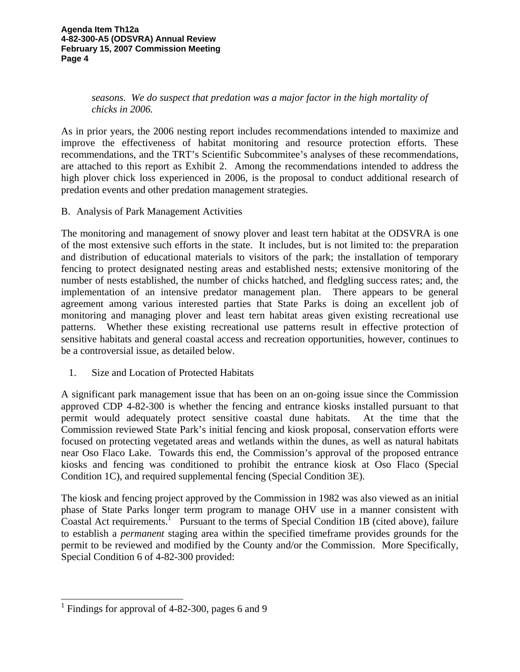*seasons. We do suspect that predation was a major factor in the high mortality of chicks in 2006.* 

As in prior years, the 2006 nesting report includes recommendations intended to maximize and improve the effectiveness of habitat monitoring and resource protection efforts. These recommendations, and the TRT's Scientific Subcommitee's analyses of these recommendations, are attached to this report as Exhibit 2. Among the recommendations intended to address the high plover chick loss experienced in 2006, is the proposal to conduct additional research of predation events and other predation management strategies.

B. Analysis of Park Management Activities

The monitoring and management of snowy plover and least tern habitat at the ODSVRA is one of the most extensive such efforts in the state. It includes, but is not limited to: the preparation and distribution of educational materials to visitors of the park; the installation of temporary fencing to protect designated nesting areas and established nests; extensive monitoring of the number of nests established, the number of chicks hatched, and fledgling success rates; and, the implementation of an intensive predator management plan. There appears to be general agreement among various interested parties that State Parks is doing an excellent job of monitoring and managing plover and least tern habitat areas given existing recreational use patterns. Whether these existing recreational use patterns result in effective protection of sensitive habitats and general coastal access and recreation opportunities, however, continues to be a controversial issue, as detailed below.

1. Size and Location of Protected Habitats

A significant park management issue that has been on an on-going issue since the Commission approved CDP 4-82-300 is whether the fencing and entrance kiosks installed pursuant to that permit would adequately protect sensitive coastal dune habitats. At the time that the Commission reviewed State Park's initial fencing and kiosk proposal, conservation efforts were focused on protecting vegetated areas and wetlands within the dunes, as well as natural habitats near Oso Flaco Lake. Towards this end, the Commission's approval of the proposed entrance kiosks and fencing was conditioned to prohibit the entrance kiosk at Oso Flaco (Special Condition 1C), and required supplemental fencing (Special Condition 3E).

The kiosk and fencing project approved by the Commission in 1982 was also viewed as an initial phase of State Parks longer term program to manage OHV use in a manner consistent with Coastal Act requirements.<sup>1</sup> Pursuant to the terms of Special Condition 1B (cited above), failure to establish a *permanent* staging area within the specified timeframe provides grounds for the permit to be reviewed and modified by the County and/or the Commission. More Specifically, Special Condition 6 of 4-82-300 provided:

 $\overline{\phantom{a}}$ 

<sup>&</sup>lt;sup>1</sup> Findings for approval of 4-82-300, pages 6 and 9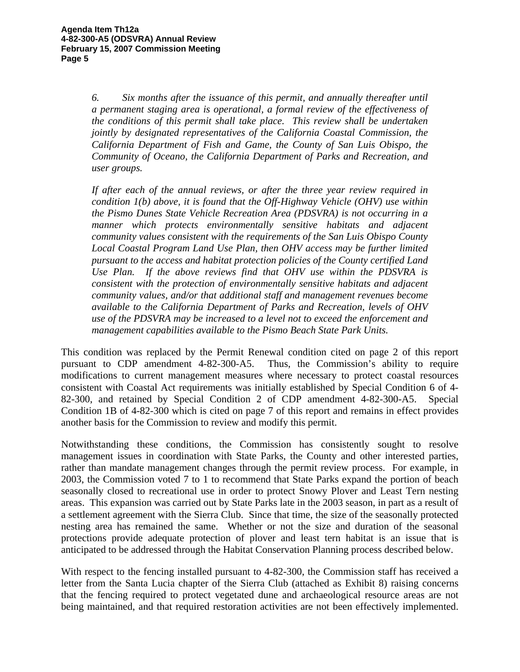*6. Six months after the issuance of this permit, and annually thereafter until a permanent staging area is operational, a formal review of the effectiveness of the conditions of this permit shall take place. This review shall be undertaken jointly by designated representatives of the California Coastal Commission, the California Department of Fish and Game, the County of San Luis Obispo, the Community of Oceano, the California Department of Parks and Recreation, and user groups.* 

*If after each of the annual reviews, or after the three year review required in condition 1(b) above, it is found that the Off-Highway Vehicle (OHV) use within the Pismo Dunes State Vehicle Recreation Area (PDSVRA) is not occurring in a manner which protects environmentally sensitive habitats and adjacent community values consistent with the requirements of the San Luis Obispo County Local Coastal Program Land Use Plan, then OHV access may be further limited pursuant to the access and habitat protection policies of the County certified Land Use Plan. If the above reviews find that OHV use within the PDSVRA is consistent with the protection of environmentally sensitive habitats and adjacent community values, and/or that additional staff and management revenues become available to the California Department of Parks and Recreation, levels of OHV use of the PDSVRA may be increased to a level not to exceed the enforcement and management capabilities available to the Pismo Beach State Park Units.* 

This condition was replaced by the Permit Renewal condition cited on page 2 of this report pursuant to CDP amendment 4-82-300-A5. Thus, the Commission's ability to require modifications to current management measures where necessary to protect coastal resources consistent with Coastal Act requirements was initially established by Special Condition 6 of 4- 82-300, and retained by Special Condition 2 of CDP amendment 4-82-300-A5. Special Condition 1B of 4-82-300 which is cited on page 7 of this report and remains in effect provides another basis for the Commission to review and modify this permit.

Notwithstanding these conditions, the Commission has consistently sought to resolve management issues in coordination with State Parks, the County and other interested parties, rather than mandate management changes through the permit review process. For example, in 2003, the Commission voted 7 to 1 to recommend that State Parks expand the portion of beach seasonally closed to recreational use in order to protect Snowy Plover and Least Tern nesting areas. This expansion was carried out by State Parks late in the 2003 season, in part as a result of a settlement agreement with the Sierra Club. Since that time, the size of the seasonally protected nesting area has remained the same. Whether or not the size and duration of the seasonal protections provide adequate protection of plover and least tern habitat is an issue that is anticipated to be addressed through the Habitat Conservation Planning process described below.

With respect to the fencing installed pursuant to 4-82-300, the Commission staff has received a letter from the Santa Lucia chapter of the Sierra Club (attached as Exhibit 8) raising concerns that the fencing required to protect vegetated dune and archaeological resource areas are not being maintained, and that required restoration activities are not been effectively implemented.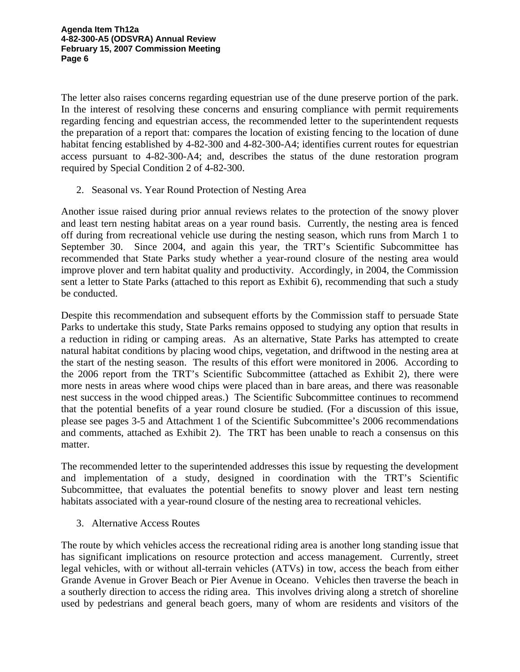The letter also raises concerns regarding equestrian use of the dune preserve portion of the park. In the interest of resolving these concerns and ensuring compliance with permit requirements regarding fencing and equestrian access, the recommended letter to the superintendent requests the preparation of a report that: compares the location of existing fencing to the location of dune habitat fencing established by 4-82-300 and 4-82-300-A4; identifies current routes for equestrian access pursuant to 4-82-300-A4; and, describes the status of the dune restoration program required by Special Condition 2 of 4-82-300.

2. Seasonal vs. Year Round Protection of Nesting Area

Another issue raised during prior annual reviews relates to the protection of the snowy plover and least tern nesting habitat areas on a year round basis. Currently, the nesting area is fenced off during from recreational vehicle use during the nesting season, which runs from March 1 to September 30. Since 2004, and again this year, the TRT's Scientific Subcommittee has recommended that State Parks study whether a year-round closure of the nesting area would improve plover and tern habitat quality and productivity. Accordingly, in 2004, the Commission sent a letter to State Parks (attached to this report as Exhibit 6), recommending that such a study be conducted.

Despite this recommendation and subsequent efforts by the Commission staff to persuade State Parks to undertake this study, State Parks remains opposed to studying any option that results in a reduction in riding or camping areas. As an alternative, State Parks has attempted to create natural habitat conditions by placing wood chips, vegetation, and driftwood in the nesting area at the start of the nesting season. The results of this effort were monitored in 2006. According to the 2006 report from the TRT's Scientific Subcommittee (attached as Exhibit 2), there were more nests in areas where wood chips were placed than in bare areas, and there was reasonable nest success in the wood chipped areas.) The Scientific Subcommittee continues to recommend that the potential benefits of a year round closure be studied. (For a discussion of this issue, please see pages 3-5 and Attachment 1 of the Scientific Subcommittee's 2006 recommendations and comments, attached as Exhibit 2). The TRT has been unable to reach a consensus on this matter.

The recommended letter to the superintended addresses this issue by requesting the development and implementation of a study, designed in coordination with the TRT's Scientific Subcommittee, that evaluates the potential benefits to snowy plover and least tern nesting habitats associated with a year-round closure of the nesting area to recreational vehicles.

3. Alternative Access Routes

The route by which vehicles access the recreational riding area is another long standing issue that has significant implications on resource protection and access management. Currently, street legal vehicles, with or without all-terrain vehicles (ATVs) in tow, access the beach from either Grande Avenue in Grover Beach or Pier Avenue in Oceano. Vehicles then traverse the beach in a southerly direction to access the riding area. This involves driving along a stretch of shoreline used by pedestrians and general beach goers, many of whom are residents and visitors of the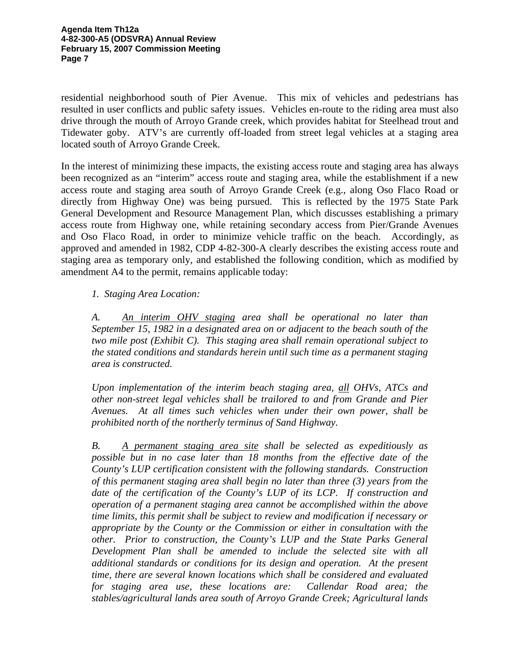residential neighborhood south of Pier Avenue. This mix of vehicles and pedestrians has resulted in user conflicts and public safety issues. Vehicles en-route to the riding area must also drive through the mouth of Arroyo Grande creek, which provides habitat for Steelhead trout and Tidewater goby. ATV's are currently off-loaded from street legal vehicles at a staging area located south of Arroyo Grande Creek.

In the interest of minimizing these impacts, the existing access route and staging area has always been recognized as an "interim" access route and staging area, while the establishment if a new access route and staging area south of Arroyo Grande Creek (e.g., along Oso Flaco Road or directly from Highway One) was being pursued. This is reflected by the 1975 State Park General Development and Resource Management Plan, which discusses establishing a primary access route from Highway one, while retaining secondary access from Pier/Grande Avenues and Oso Flaco Road, in order to minimize vehicle traffic on the beach. Accordingly, as approved and amended in 1982, CDP 4-82-300-A clearly describes the existing access route and staging area as temporary only, and established the following condition, which as modified by amendment A4 to the permit, remains applicable today:

# *1. Staging Area Location:*

*A. An interim OHV staging area shall be operational no later than September 15, 1982 in a designated area on or adjacent to the beach south of the two mile post (Exhibit C). This staging area shall remain operational subject to the stated conditions and standards herein until such time as a permanent staging area is constructed.* 

*Upon implementation of the interim beach staging area, all OHVs, ATCs and other non-street legal vehicles shall be trailored to and from Grande and Pier Avenues. At all times such vehicles when under their own power, shall be prohibited north of the northerly terminus of Sand Highway.* 

*B. A permanent staging area site shall be selected as expeditiously as possible but in no case later than 18 months from the effective date of the County's LUP certification consistent with the following standards. Construction of this permanent staging area shall begin no later than three (3) years from the date of the certification of the County's LUP of its LCP. If construction and operation of a permanent staging area cannot be accomplished within the above time limits, this permit shall be subject to review and modification if necessary or appropriate by the County or the Commission or either in consultation with the other. Prior to construction, the County's LUP and the State Parks General Development Plan shall be amended to include the selected site with all additional standards or conditions for its design and operation. At the present time, there are several known locations which shall be considered and evaluated for staging area use, these locations are: Callendar Road area; the stables/agricultural lands area south of Arroyo Grande Creek; Agricultural lands*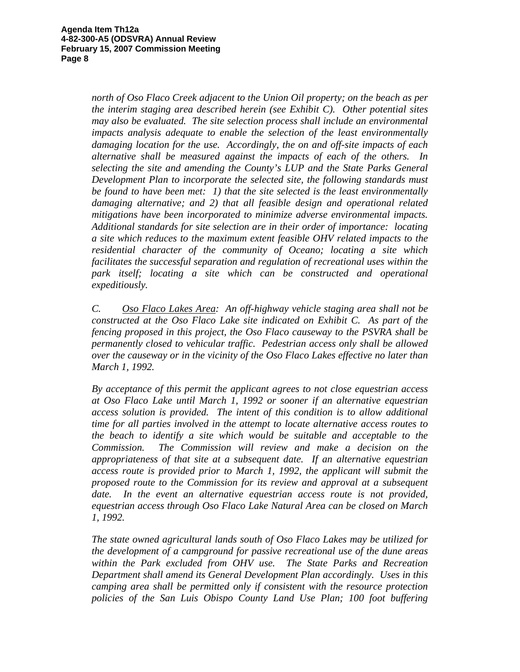*north of Oso Flaco Creek adjacent to the Union Oil property; on the beach as per the interim staging area described herein (see Exhibit C). Other potential sites may also be evaluated. The site selection process shall include an environmental impacts analysis adequate to enable the selection of the least environmentally damaging location for the use. Accordingly, the on and off-site impacts of each alternative shall be measured against the impacts of each of the others. In selecting the site and amending the County's LUP and the State Parks General Development Plan to incorporate the selected site, the following standards must be found to have been met: 1) that the site selected is the least environmentally damaging alternative; and 2) that all feasible design and operational related mitigations have been incorporated to minimize adverse environmental impacts. Additional standards for site selection are in their order of importance: locating a site which reduces to the maximum extent feasible OHV related impacts to the residential character of the community of Oceano; locating a site which facilitates the successful separation and regulation of recreational uses within the park itself; locating a site which can be constructed and operational expeditiously.* 

*C. Oso Flaco Lakes Area: An off-highway vehicle staging area shall not be constructed at the Oso Flaco Lake site indicated on Exhibit C. As part of the fencing proposed in this project, the Oso Flaco causeway to the PSVRA shall be permanently closed to vehicular traffic. Pedestrian access only shall be allowed over the causeway or in the vicinity of the Oso Flaco Lakes effective no later than March 1, 1992.* 

*By acceptance of this permit the applicant agrees to not close equestrian access at Oso Flaco Lake until March 1, 1992 or sooner if an alternative equestrian access solution is provided. The intent of this condition is to allow additional time for all parties involved in the attempt to locate alternative access routes to the beach to identify a site which would be suitable and acceptable to the Commission. The Commission will review and make a decision on the appropriateness of that site at a subsequent date. If an alternative equestrian access route is provided prior to March 1, 1992, the applicant will submit the proposed route to the Commission for its review and approval at a subsequent date. In the event an alternative equestrian access route is not provided, equestrian access through Oso Flaco Lake Natural Area can be closed on March 1, 1992.* 

*The state owned agricultural lands south of Oso Flaco Lakes may be utilized for the development of a campground for passive recreational use of the dune areas within the Park excluded from OHV use. The State Parks and Recreation Department shall amend its General Development Plan accordingly. Uses in this camping area shall be permitted only if consistent with the resource protection policies of the San Luis Obispo County Land Use Plan; 100 foot buffering*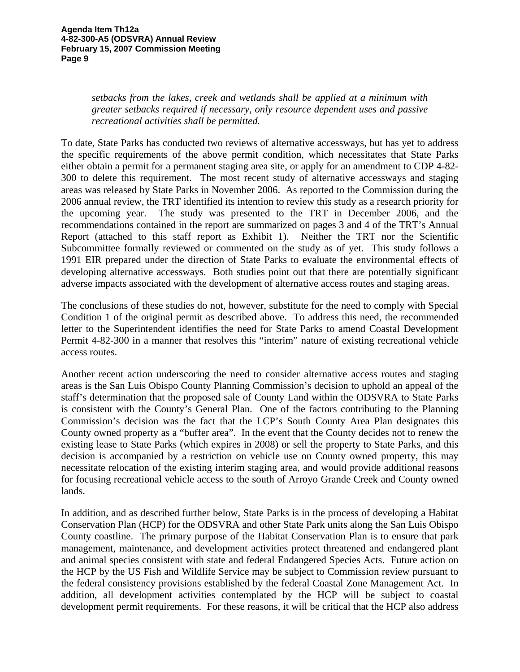*setbacks from the lakes, creek and wetlands shall be applied at a minimum with greater setbacks required if necessary, only resource dependent uses and passive recreational activities shall be permitted.* 

To date, State Parks has conducted two reviews of alternative accessways, but has yet to address the specific requirements of the above permit condition, which necessitates that State Parks either obtain a permit for a permanent staging area site, or apply for an amendment to CDP 4-82- 300 to delete this requirement. The most recent study of alternative accessways and staging areas was released by State Parks in November 2006. As reported to the Commission during the 2006 annual review, the TRT identified its intention to review this study as a research priority for the upcoming year. The study was presented to the TRT in December 2006, and the recommendations contained in the report are summarized on pages 3 and 4 of the TRT's Annual Report (attached to this staff report as Exhibit 1). Neither the TRT nor the Scientific Subcommittee formally reviewed or commented on the study as of yet. This study follows a 1991 EIR prepared under the direction of State Parks to evaluate the environmental effects of developing alternative accessways. Both studies point out that there are potentially significant adverse impacts associated with the development of alternative access routes and staging areas.

The conclusions of these studies do not, however, substitute for the need to comply with Special Condition 1 of the original permit as described above. To address this need, the recommended letter to the Superintendent identifies the need for State Parks to amend Coastal Development Permit 4-82-300 in a manner that resolves this "interim" nature of existing recreational vehicle access routes.

Another recent action underscoring the need to consider alternative access routes and staging areas is the San Luis Obispo County Planning Commission's decision to uphold an appeal of the staff's determination that the proposed sale of County Land within the ODSVRA to State Parks is consistent with the County's General Plan. One of the factors contributing to the Planning Commission's decision was the fact that the LCP's South County Area Plan designates this County owned property as a "buffer area". In the event that the County decides not to renew the existing lease to State Parks (which expires in 2008) or sell the property to State Parks, and this decision is accompanied by a restriction on vehicle use on County owned property, this may necessitate relocation of the existing interim staging area, and would provide additional reasons for focusing recreational vehicle access to the south of Arroyo Grande Creek and County owned lands.

In addition, and as described further below, State Parks is in the process of developing a Habitat Conservation Plan (HCP) for the ODSVRA and other State Park units along the San Luis Obispo County coastline. The primary purpose of the Habitat Conservation Plan is to ensure that park management, maintenance, and development activities protect threatened and endangered plant and animal species consistent with state and federal Endangered Species Acts. Future action on the HCP by the US Fish and Wildlife Service may be subject to Commission review pursuant to the federal consistency provisions established by the federal Coastal Zone Management Act. In addition, all development activities contemplated by the HCP will be subject to coastal development permit requirements. For these reasons, it will be critical that the HCP also address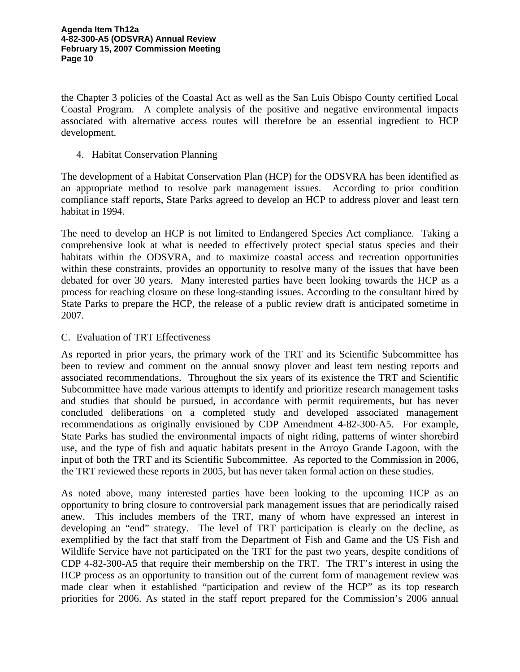the Chapter 3 policies of the Coastal Act as well as the San Luis Obispo County certified Local Coastal Program. A complete analysis of the positive and negative environmental impacts associated with alternative access routes will therefore be an essential ingredient to HCP development.

4. Habitat Conservation Planning

The development of a Habitat Conservation Plan (HCP) for the ODSVRA has been identified as an appropriate method to resolve park management issues. According to prior condition compliance staff reports, State Parks agreed to develop an HCP to address plover and least tern habitat in 1994.

The need to develop an HCP is not limited to Endangered Species Act compliance. Taking a comprehensive look at what is needed to effectively protect special status species and their habitats within the ODSVRA, and to maximize coastal access and recreation opportunities within these constraints, provides an opportunity to resolve many of the issues that have been debated for over 30 years. Many interested parties have been looking towards the HCP as a process for reaching closure on these long-standing issues. According to the consultant hired by State Parks to prepare the HCP, the release of a public review draft is anticipated sometime in 2007.

# C. Evaluation of TRT Effectiveness

As reported in prior years, the primary work of the TRT and its Scientific Subcommittee has been to review and comment on the annual snowy plover and least tern nesting reports and associated recommendations. Throughout the six years of its existence the TRT and Scientific Subcommittee have made various attempts to identify and prioritize research management tasks and studies that should be pursued, in accordance with permit requirements, but has never concluded deliberations on a completed study and developed associated management recommendations as originally envisioned by CDP Amendment 4-82-300-A5. For example, State Parks has studied the environmental impacts of night riding, patterns of winter shorebird use, and the type of fish and aquatic habitats present in the Arroyo Grande Lagoon, with the input of both the TRT and its Scientific Subcommittee. As reported to the Commission in 2006, the TRT reviewed these reports in 2005, but has never taken formal action on these studies.

As noted above, many interested parties have been looking to the upcoming HCP as an opportunity to bring closure to controversial park management issues that are periodically raised anew. This includes members of the TRT, many of whom have expressed an interest in developing an "end" strategy. The level of TRT participation is clearly on the decline, as exemplified by the fact that staff from the Department of Fish and Game and the US Fish and Wildlife Service have not participated on the TRT for the past two years, despite conditions of CDP 4-82-300-A5 that require their membership on the TRT. The TRT's interest in using the HCP process as an opportunity to transition out of the current form of management review was made clear when it established "participation and review of the HCP" as its top research priorities for 2006. As stated in the staff report prepared for the Commission's 2006 annual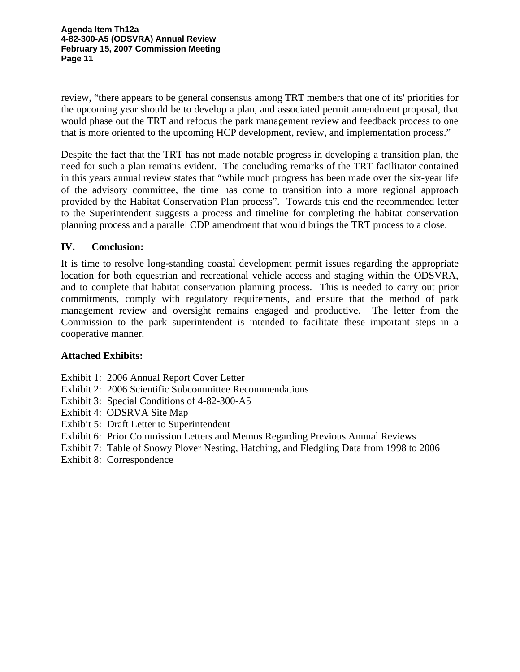**Agenda Item Th12a 4-82-300-A5 (ODSVRA) Annual Review February 15, 2007 Commission Meeting Page 11** 

review, "there appears to be general consensus among TRT members that one of its' priorities for the upcoming year should be to develop a plan, and associated permit amendment proposal, that would phase out the TRT and refocus the park management review and feedback process to one that is more oriented to the upcoming HCP development, review, and implementation process."

Despite the fact that the TRT has not made notable progress in developing a transition plan, the need for such a plan remains evident. The concluding remarks of the TRT facilitator contained in this years annual review states that "while much progress has been made over the six-year life of the advisory committee, the time has come to transition into a more regional approach provided by the Habitat Conservation Plan process". Towards this end the recommended letter to the Superintendent suggests a process and timeline for completing the habitat conservation planning process and a parallel CDP amendment that would brings the TRT process to a close.

# **IV. Conclusion:**

It is time to resolve long-standing coastal development permit issues regarding the appropriate location for both equestrian and recreational vehicle access and staging within the ODSVRA, and to complete that habitat conservation planning process. This is needed to carry out prior commitments, comply with regulatory requirements, and ensure that the method of park management review and oversight remains engaged and productive. The letter from the Commission to the park superintendent is intended to facilitate these important steps in a cooperative manner.

# **Attached Exhibits:**

- Exhibit 1: 2006 Annual Report Cover Letter
- Exhibit 2: 2006 Scientific Subcommittee Recommendations
- Exhibit 3: Special Conditions of 4-82-300-A5
- Exhibit 4: ODSRVA Site Map
- Exhibit 5: Draft Letter to Superintendent
- Exhibit 6: Prior Commission Letters and Memos Regarding Previous Annual Reviews
- Exhibit 7: Table of Snowy Plover Nesting, Hatching, and Fledgling Data from 1998 to 2006
- Exhibit 8: Correspondence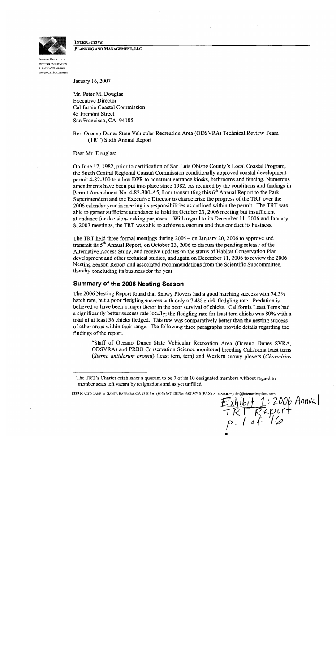

**INTERACTIVE** PLANNING AND MANAGEMENT, LLC

**DISPUTE RESOLUTION** MEETING FACILITATION STRATEGIC PLANNING PROGRAM MANAGEMENT

January 16, 2007

Mr. Peter M. Douglas **Executive Director** California Coastal Commission 45 Fremont Street San Francisco, CA 94105

Re: Oceano Dunes State Vehicular Recreation Area (ODSVRA) Technical Review Team (TRT) Sixth Annual Report

Dear Mr. Douglas:

On June 17, 1982, prior to certification of San Luis Obispo County's Local Coastal Program, the South Central Regional Coastal Commission conditionally approved coastal development permit 4-82-300 to allow DPR to construct entrance kiosks, bathrooms and fencing. Numerous amendments have been put into place since 1982. As required by the conditions and findings in Permit Amendment No. 4-82-300-A5, I am transmitting this 6<sup>th</sup> Annual Report to the Park Superintendent and the Executive Director to characterize the progress of the TRT over the 2006 calendar year in meeting its responsibilities as outlined within the permit. The TRT was able to garner sufficient attendance to hold its October 23, 2006 meeting but insufficient attendance for decision-making purposes<sup>1</sup>. With regard to its December 11, 2006 and January 8, 2007 meetings, the TRT was able to achieve a quorum and thus conduct its business.

The TRT held three formal meetings during  $2006 -$  on January 20, 2006 to approve and transmit its 5<sup>th</sup> Annual Report, on October 23, 2006 to discuss the pending release of the Alternative Access Study, and receive updates on the status of Habitat Conservation Plan development and other technical studies, and again on December 11, 2006 to review the 2006 Nesting Season Report and associated recommendations from the Scientific Subcommittee, thereby concluding its business for the year.

# **Summary of the 2006 Nesting Season**

The 2006 Nesting Report found that Snowy Plovers had a good hatching success with 74.3% hatch rate, but a poor fledgling success with only a 7.4% chick fledgling rate. Predation is believed to have been a major factor in the poor survival of chicks. California Least Terns had a significantly better success rate locally; the fledgling rate for least tern chicks was 80% with a total of at least 36 chicks fledged. This rate was comparatively better than the nesting success of other areas within their range. The following three paragraphs provide details regarding the findings of the report.

"Staff of Oceano Dunes State Vehicular Recreation Area (Oceano Dunes SVRA, ODSVRA) and PRBO Conservation Science monitored breeding California least terns (Sterna antillarum browni) (least tern, tern) and Western snowy plovers (Charadrius

Exhibit 1:2006 Annual<br>TRT Report<br>P. 1 of 16

1339 RIALTO LANE a SANTA BARBARA, CA 93105 a (805) 687-4043 a 687-9750 (FAX) a E-MAIL=john@inte

<sup>&</sup>lt;sup>1</sup> The TRT's Charter establishes a quorum to be 7 of its 10 designated members without regard to member seats left vacant by resignations and as yet unfilled.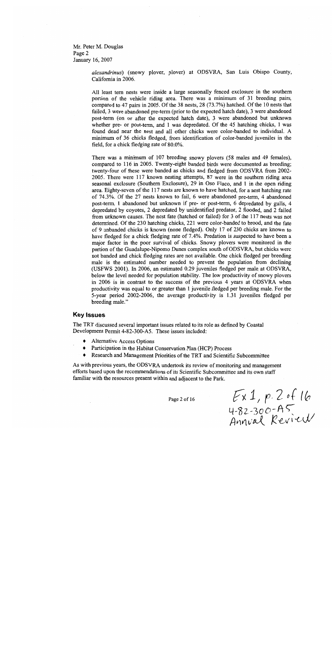Mr. Peter M. Douglas Page 2 January 16, 2007

> alexandrinus) (snowy plover, plover) at ODSVRA, San Luis Obispo County, California in 2006.

> All least tern nests were inside a large seasonally fenced exclosure in the southern portion of the vehicle riding area. There was a minimum of 31 breeding pairs, compared to 47 pairs in 2005. Of the 38 nests, 28 (73.7%) hatched. Of the 10 nests that failed, 3 were abandoned pre-term (prior to the expected hatch date), 3 were abandoned post-term (on or after the expected hatch date), 3 were abandoned but unknown whether pre- or post-term, and 1 was depredated. Of the 45 hatching chicks, 1 was found dead near the nest and all other chicks were color-banded to individual. A minimum of 36 chicks fledged, from identification of color-banded juveniles in the field, for a chick fledging rate of 80.0%.

> There was a minimum of 107 breeding snowy plovers (58 males and 49 females), compared to 116 in 2005. Twenty-eight banded birds were documented as breeding; twenty-four of these were banded as chicks and fledged from ODSVRA from 2002-2005. There were 117 known nesting attempts, 87 were in the southern riding area seasonal exclosure (Southern Exclosure), 29 in Oso Flaco, and 1 in the open riding area. Eighty-seven of the 117 nests are known to have hatched, for a nest hatching rate of 74.3%. Of the 27 nests known to fail, 6 were abandoned pre-term, 4 abandoned post-term, 1 abandoned but unknown if pre- or post-term, 6 depredated by gulls, 4 depredated by coyotes, 2 depredated by unidentified predator, 2 flooded, and 2 failed from unknown causes. The nest fate (hatched or failed) for 3 of the 117 nests was not determined. Of the 230 hatching chicks, 221 were color-banded to brood, and the fate of 9 unbanded chicks is known (none fledged). Only 17 of 230 chicks are known to have fledged for a chick fledging rate of 7.4%. Predation is suspected to have been a major factor in the poor survival of chicks. Snowy plovers were monitored in the portion of the Guadalupe-Nipomo Dunes complex south of ODSVRA, but chicks were not banded and chick fledging rates are not available. One chick fledged per breeding male is the estimated number needed to prevent the population from declining (USFWS 2001). In 2006, an estimated 0.29 juveniles fledged per male at ODSVRA, below the level needed for population stability. The low productivity of snowy plovers in 2006 is in contrast to the success of the previous 4 years at ODSVRA when productivity was equal to or greater than 1 juvenile fledged per breeding male. For the 5-year period 2002-2006, the average productivity is 1.31 juveniles fledged per breeding male."

# **Key Issues**

The TRT discussed several important issues related to its role as defined by Coastal Development Permit 4-82-300-A5. These issues included:

- **Alternative Access Options** ٠
- Participation in the Habitat Conservation Plan (HCP) Process  $\blacklozenge$
- Research and Management Priorities of the TRT and Scientific Subcommittee

As with previous years, the ODSVRA undertook its review of monitoring and management efforts based upon the recommendations of its Scientific Subcommittee and its own staff familiar with the resources present within and adjacent to the Park.

Page 2 of 16

 $Ex1, p. 2$  of 16<br>4-82-300-A5<br>Annval Review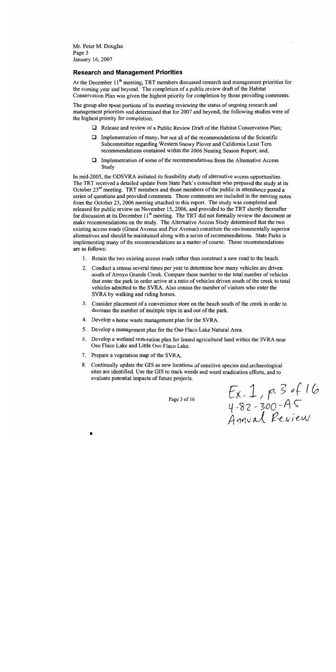Mr. Peter M. Douglas Page 3 January 16, 2007

# **Research and Management Priorities**

At the December 11<sup>th</sup> meeting, TRT members discussed research and management priorities for the coming year and beyond. The completion of a public review draft of the Habitat Conservation Plan was given the highest priority for completion by those providing comments.

The group also spent portions of its meeting reviewing the status of ongoing research and management priorities and determined that for 2007 and beyond, the following studies were of the highest priority for completion.

- $\Box$  Release and review of a Public Review Draft of the Habitat Conservation Plan;
- Implementation of many, but not all of the recommendations of the Scientific  $\Box$ Subcommittee regarding Western Snowy Plover and California Least Tern recommendations contained within the 2006 Nesting Season Report; and,
- Implementation of some of the recommendations from the Alternative Access  $\Box$ Study

In mid-2005, the ODSVRA initiated its feasibility study of alternative access opportunities. The TRT received a detailed update from State Park's consultant who prepared the study at its October  $23^{rd}$  meeting. TRT members and those members of the public in attendance posed a series of questions and provided comments. Those comments are included in the meeting notes from the October 23, 2006 meeting attached to this report. The study was completed and released for public review on November 15, 2006, and provided to the TRT shortly thereafter for discussion at its December 11<sup>th</sup> meeting. The TRT did not formally review the document or make recommendations on the study. The Alternative Access Study determined that the two existing access roads (Grand Avenue and Pier Avenue) constitute the environmentally superior alternatives and should be maintained along with a series of recommendations. State Parks is implementing many of the recommendations as a matter of course. Those recommendations are as follows:

- 1. Retain the two existing access roads rather than construct a new road to the beach.
- 2. Conduct a census several times per year to determine how many vehicles are driven south of Arroyo Grande Creek. Compare these number to the total number of vehicles that enter the park in order arrive at a ratio of vehicles driven south of the creek to total vehicles admitted to the SVRA. Also census the number of visitors who enter the SVRA by walking and riding horses.
- 3. Consider placement of a convenience store on the beach south of the creek in order to decrease the number of multiple trips in and out of the park.
- 4. Develop a horse waste management plan for the SVRA.
- 5. Develop a management plan for the Oso Flaco Lake Natural Area.
- Develop a wetland restoration plan for leased agricultural land within the SVRA near 6. Oso Flaco Lake and Little Oso Flaco Lake.
- 7. Prepare a vegetation map of the SVRA.
- 8. Continually update the GIS as new locations of sensitive species and archaeological sites are identified. Use the GIS to track weeds and weed eradication efforts, and to evaluate potential impacts of future projects.

Page 3 of 16

 $Ex. 1, p. 3 of 16  
4-82-300-AS  
Annual Review$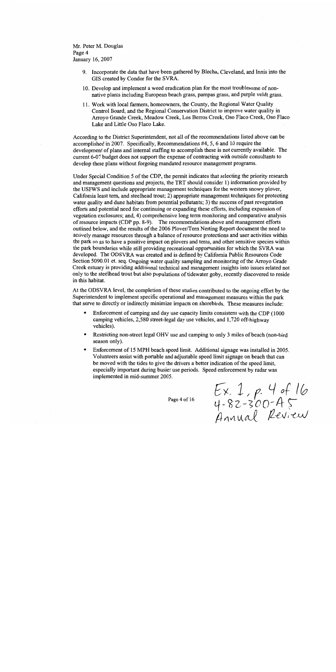Mr. Peter M. Douglas Page 4 January 16, 2007

- 9. Incorporate the data that have been gathered by Blecha, Cleveland, and Innis into the GIS created by Condor for the SVRA.
- 10. Develop and implement a weed eradication plan for the most troublesome of nonnative plants including European beach grass, pampas grass, and purple veldt grass.
- 11. Work with local farmers, homeowners, the County, the Regional Water Quality Control Board, and the Regional Conservation District to improve water quality in Arroyo Grande Creek, Meadow Creek, Los Berros Creek, Oso Flaco Creek, Oso Flaco Lake and Little Oso Flaco Lake.

According to the District Superintendent, not all of the recommendations listed above can be accomplished in 2007. Specifically, Recommendations #4, 5, 6 and 10 require the development of plans and internal staffing to accomplish these is not currently available. The current 6-07 budget does not support the expense of contracting with outside consultants to develop these plans without forgoing mandated resource management programs.

Under Special Condition 5 of the CDP, the permit indicates that selecting the priority research and management questions and projects, the TRT should consider 1) information provided by the USFWS and include appropriate management techniques for the western snowy plover, California least tern, and steelhead trout; 2) appropriate management techniques for protecting water quality and dune habitats from potential pollutants; 3) the success of past revegetation efforts and potential need for continuing or expanding these efforts, including expansion of vegetation exclosures; and, 4) comprehensive long term monitoring and comparative analysis of resource impacts (CDP pp. 8-9). The recommendations above and management efforts outlined below, and the results of the 2006 Plover/Tern Nesting Report document the need to actively manage resources through a balance of resource protections and user activities within the park so as to have a positive impact on plovers and terns, and other sensitive species within the park boundaries while still providing recreational opportunities for which the SVRA was developed. The ODSVRA was created and is defined by California Public Resources Code Section 5090.01 et. seq. Ongoing water quality sampling and monitoring of the Arroyo Grade Creek estuary is providing additional technical and management insights into issues related not only to the steelhead trout but also populations of tidewater goby, recently discovered to reside in this habitat.

At the ODSVRA level, the completion of these studies contributed to the ongoing effort by the Superintendent to implement specific operational and management measures within the park that serve to directly or indirectly minimize impacts on shorebirds. These measures include:

- Enforcement of camping and day use capacity limits consistent with the CDP (1000) camping vehicles, 2,580 street-legal day use vehicles, and 1,720 off-highway vehicles).
- Restricting non-street legal OHV use and camping to only 3 miles of beach (non-bird  $\blacksquare$ season only).
- Enforcement of 15 MPH beach speed limit. Additional signage was installed in 2005. Volunteers assist with portable and adjustable speed limit signage on beach that can be moved with the tides to give the drivers a better indication of the speed limit, especially important during busier use periods. Speed enforcement by radar was implemented in mid-summer 2005.

Page 4 of 16

 $Ex. 1. p. 4 of 16  
4-82-300-45  
Annual Review$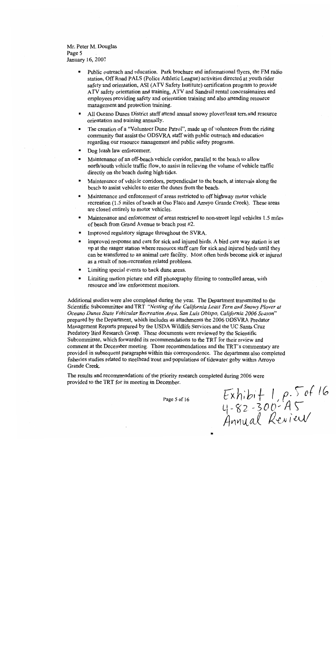Mr. Peter M. Douglas Page 5 January 16, 2007

- $\blacksquare$ Public outreach and education. Park brochure and informational flyers, the FM radio station, Off Road PALS (Police Athletic League) activities directed at youth rider safety and orientation, ASI (ATV Safety Institute) certification program to provide ATV safety orientation and training, ATV and Sandrail rental concessionaires and employees providing safety and orientation training and also attending resource management and protection training.
- All Oceano Dunes District staff attend annual snowy plover/least tern and resource  $\bullet$ orientation and training annually.
- The creation of a "Volunteer Dune Patrol", made up of volunteers from the riding  $\blacksquare$ community that assist the ODSVRA staff with public outreach and education regarding our resource management and public safety programs.
- Dog leash law enforcement.  $\blacksquare$
- Maintenance of an off-beach vehicle corridor, parallel to the beach to allow  $\blacksquare$ north/south vehicle traffic flow, to assist in relieving the volume of vehicle traffic directly on the beach during high tides.
- Maintenance of vehicle corridors, perpendicular to the beach, at intervals along the  $\blacksquare$ beach to assist vehicles to enter the dunes from the beach.
- Maintenance and enforcement of areas restricted to off highway motor vehicle  $\blacksquare$ recreation (1.5 miles of beach at Oso Flaco and Arroyo Grande Creek). These areas are closed entirely to motor vehicles.
- $\blacksquare$ Maintenance and enforcement of areas restricted to non-street legal vehicles 1.5 miles of beach from Grand Avenue to beach post #2.
- Improved regulatory signage throughout the SVRA.  $\blacksquare$
- $\blacksquare$ Improved response and care for sick and injured birds. A bird care way station is set up at the ranger station where resource staff care for sick and injured birds until they can be transferred to an animal care facility. Most often birds become sick or injured as a result of non-recreation related problems.
- Limiting special events to back dune areas.  $\bullet$
- Limiting motion picture and still photography filming to controlled areas, with  $\blacksquare$ resource and law enforcement monitors.

Additional studies were also completed during the year. The Department transmitted to the Scientific Subcommittee and TRT "Nesting of the California Least Tern and Snowy Plover at Oceano Dunes State Vehicular Recreation Area, San Luis Obispo, California 2006 Season" prepared by the Department, which includes as attachments the 2006 ODSVRA Predator Management Reports prepared by the USDA Wildlife Services and the UC Santa Cruz Predatory Bird Research Group. These documents were reviewed by the Scientific Subcommittee, which forwarded its recommendations to the TRT for their review and comment at the December meeting. Those recommendations and the TRT's commentary are provided in subsequent paragraphs within this correspondence. The department also completed fisheries studies related to steelhead trout and populations of tidewater goby within Arroyo Grande Creek.

The results and recommendations of the priority research completed during 2006 were provided to the TRT for its meeting in December.

Page 5 of 16

 $Exhibit 1, p. 5 of 16  
4-82-300 - AS  
Annual Review$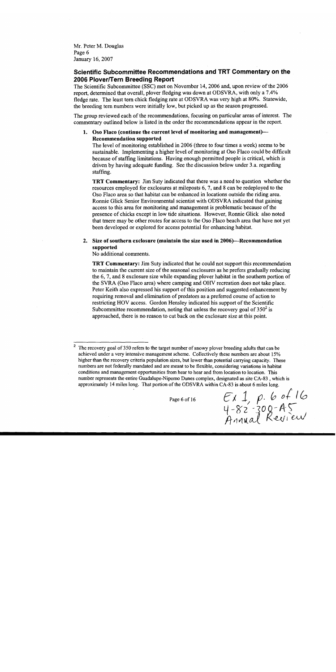Mr. Peter M. Douglas Page 6 January 16, 2007

# Scientific Subcommittee Recommendations and TRT Commentary on the 2006 Plover/Tern Breeding Report

The Scientific Subcommittee (SSC) met on November 14, 2006 and, upon review of the 2006 report, determined that overall, ployer fledging was down at ODSVRA, with only a 7.4% fledge rate. The least tern chick fledging rate at ODSVRA was very high at 80%. Statewide, the breeding tern numbers were initially low, but picked up as the season progressed.

The group reviewed each of the recommendations, focusing on particular areas of interest. The commentary outlined below is listed in the order the recommendations appear in the report.

# 1. Oso Flaco (continue the current level of monitoring and management)— **Recommendation supported**

The level of monitoring established in 2006 (three to four times a week) seems to be sustainable. Implementing a higher level of monitoring at Oso Flaco could be difficult because of staffing limitations. Having enough permitted people is critical, which is driven by having adequate funding. See the discussion below under 3.a. regarding staffing.

**TRT Commentary:** Jim Suty indicated that there was a need to question whether the resources employed for exclosures at mileposts 6, 7, and 8 can be redeployed to the Oso Flaco area so that habitat can be enhanced in locations outside the riding area. Ronnie Glick Senior Environmental scientist with ODSVRA indicated that gaining access to this area for monitoring and management is problematic because of the presence of chicks except in low tide situations. However, Ronnie Glick also noted that tmere may be other routes for access to the Oso Flaco beach area that have not yet been developed or explored for access potential for enhancing habitat.

# 2. Size of southern exclosure (maintain the size used in 2006)—Recommendation supported

No additional comments.

**TRT Commentary:** Jim Suty indicated that he could not support this recommendation to maintain the current size of the seasonal exclosures as he prefers gradually reducing the 6, 7, and 8 exclosure size while expanding plover habitat in the southern portion of the SVRA (Oso Flaco area) where camping and OHV recreation does not take place. Peter Keith also expressed his support of this position and suggested enhancement by requiring removal and elimination of predators as a preferred course of action to restricting HOV access. Gordon Hensley indicated his support of the Scientific Subcommittee recommendation, noting that unless the recovery goal of  $350^2$  is approached, there is no reason to cut back on the exclosure size at this point.

Page 6 of 16

 $EX 1, p. 6$  of 16<br>4-82-300-A5<br>Annual Review

 $\boldsymbol{2}$ The recovery goal of 350 refers to the target number of snowy plover breeding adults that can be achieved under a very intensive management scheme. Collectively these numbers are about 15% higher than the recovery criteria population sizes, but lower than potential carrying capacity. These numbers are not federally mandated and are meant to be flexible, considering variations in habitat conditions and management opportunities from hear to hear and from location to location. This number represents the entire Guadalupe-Nipomo Dunes complex, designated as site CA-83, which is approximately 14 miles long. That portion of the ODSVRA within CA-83 is about 6 miles long.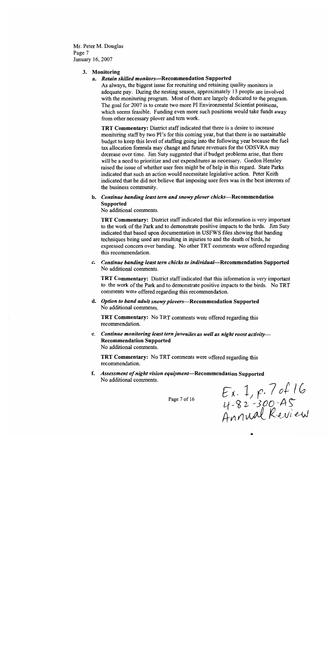Mr. Peter M. Douglas Page 7 January 16, 2007

### 3. Monitoring

### a. Retain skilled monitors-Recommendation Supported

As always, the biggest issue for recruiting and retaining quality monitors is adequate pay. During the nesting season, approximately 13 people are involved with the monitoring program. Most of them are largely dedicated to the program. The goal for 2007 is to create two more PI Environmental Scientist positions, which seems feasible. Funding even more such positions would take funds away from other necessary plover and tern work.

**TRT Commentary:** District staff indicated that there is a desire to increase monitoring staff by two PI's for this coming year, but that there is no sustainable budget to keep this level of staffing going into the following year because the fuel tax allocation formula may change and future revenues for the ODSVRA may decrease over time. Jim Suty suggested that if budget problems arise, that there will be a need to prioritize and cut expenditures as necessary. Gordon Hensley raised the issue of whether user fees might be of help in this regard. State Parks indicated that such an action would necessitate legislative action. Peter Keith indicated that he did not believe that imposing user fees was in the best interests of the business community.

# b. Continue banding least tern and snowy plover chicks-Recommendation **Supported**

No additional comments.

**TRT Commentary:** District staff indicated that this information is very important to the work of the Park and to demonstrate positive impacts to the birds. Jim Suty indicated that based upon documentation in USFWS files showing that banding techniques being used are resulting in injuries to and the death of birds, he expressed concern over banding. No other TRT comments were offered regarding this recommendation.

Continue banding least tern chicks to individual-Recommendation Supported c. No additional comments.

**TRT Commentary:** District staff indicated that this information is very important to the work of the Park and to demonstrate positive impacts to the birds. No TRT comments were offered regarding this recommendation.

d. Option to band adult snowy plovers—Recommendation Supported No additional comments.

TRT Commentary: No TRT comments were offered regarding this recommendation.

e. Continue monitoring least tern juveniles as well as night roost activity-**Recommendation Supported** No additional comments.

**TRT Commentary:** No TRT comments were offered regarding this recommendation.

f. Assessment of night vision equipment—Recommendation Supported No additional comments.

Page 7 of 16

Ex. 1, p. 7 of 16<br>4-82-300-A5<br>Annual Review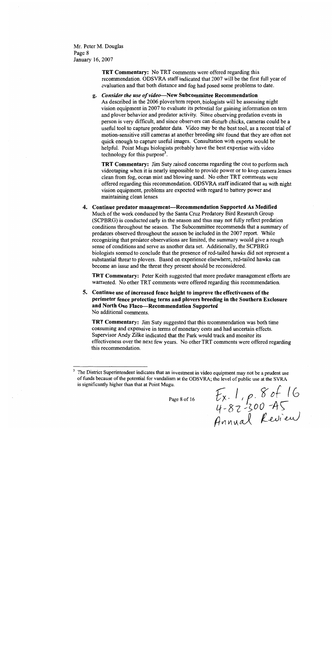Mr. Peter M. Douglas Page 8 January 16, 2007

> TRT Commentary: No TRT comments were offered regarding this recommendation. ODSVRA staff indicated that 2007 will be the first full year of evaluation and that both distance and fog had posed some problems to date.

g. Consider the use of video-New Subcommittee Recommendation As described in the 2006 plover/tern report, biologists will be assessing night vision equipment in 2007 to evaluate its potential for gaining information on tern and plover behavior and predator activity. Since observing predation events in person is very difficult, and since observers can disturb chicks, cameras could be a useful tool to capture predator data. Video may be the best tool, as a recent trial of motion-sensitive still cameras at another breeding site found that they are often not quick enough to capture useful images. Consultation with experts would be helpful. Point Mugu biologists probably have the best expertise with video technology for this purpose<sup>3</sup>.

**TRT Commentary:** Jim Suty raised concerns regarding the cost to perform such videotaping when it is nearly impossible to provide power or to keep camera lenses clean from fog, ocean mist and blowing sand. No other TRT comments were offered regarding this recommendation. ODSVRA staff indicated that as with night vision equipment, problems are expected with regard to battery power and maintaining clean lenses.

4. Continue predator management-Recommendation Supported As Modified Much of the work conducted by the Santa Cruz Predatory Bird Research Group (SCPBRG) is conducted early in the season and thus may not fully reflect predation conditions throughout the season. The Subcommittee recommends that a summary of predators observed throughout the season be included in the 2007 report. While recognizing that predator observations are limited, the summary would give a rough sense of conditions and serve as another data set. Additionally, the SCPBRG biologists seemed to conclude that the presence of red-tailed hawks did not represent a substantial threat to plovers. Based on experience elsewhere, red-tailed hawks can become an issue and the threat they present should be reconsidered.

TRT Commentary: Peter Keith suggested that more predator management efforts are warranted. No other TRT comments were offered regarding this recommendation.

5. Continue use of increased fence height to improve the effectiveness of the perimeter fence protecting terns and plovers breeding in the Southern Exclosure and North Oso Flaco-Recommendation Supported No additional comments.

**TRT Commentary:** Jim Suty suggested that this recommendation was both time consuming and expensive in terms of monetary costs and had uncertain effects. Supervisor Andy Zilke indicated that the Park would track and monitor its effectiveness over the next few years. No other TRT comments were offered regarding this recommendation.

Page 8 of 16

 $E_{x}$ , 1, p. 8 of 16<br>4-82-300-A5<br>Annual Review

The District Superintendent indicates that an investment in video equipment may not be a prudent use of funds because of the potential for vandalism at the ODSVRA; the level of public use at the SVRA is significantly higher than that at Point Mugu.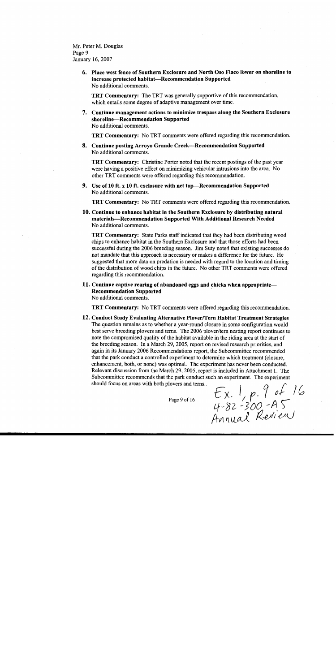Mr. Peter M. Douglas Page 9 January 16, 2007

> 6. Place west fence of Southern Exclosure and North Oso Flaco lower on shoreline to increase protected habitat-Recommendation Supported No additional comments.

TRT Commentary: The TRT was generally supportive of this recommendation, which entails some degree of adaptive management over time.

7. Continue management actions to minimize trespass along the Southern Exclosure shoreline-Recommendation Supported No additional comments.

TRT Commentary: No TRT comments were offered regarding this recommendation.

8. Continue posting Arroyo Grande Creek-Recommendation Supported No additional comments.

**TRT Commentary:** Christine Porter noted that the recent postings of the past year were having a positive effect on minimizing vehicular intrusions into the area. No other TRT comments were offered regarding this recommendation.

9. Use of 10 ft. x 10 ft. exclosure with net top-Recommendation Supported No additional comments.

TRT Commentary: No TRT comments were offered regarding this recommendation.

10. Continue to enhance habitat in the Southern Exclosure by distributing natural materials—Recommendation Supported With Additional Research Needed No additional comments.

**TRT Commentary:** State Parks staff indicated that they had been distributing wood chips to enhance habitat in the Southern Exclosure and that those efforts had been successful during the 2006 breeding season. Jim Suty noted that existing successes do not mandate that this approach is necessary or makes a difference for the future. He suggested that more data on predation is needed with regard to the location and timing of the distribution of wood chips in the future. No other TRT comments were offered regarding this recommendation.

# 11. Continue captive rearing of abandoned eggs and chicks when appropriate— **Recommendation Supported**

No additional comments.

**TRT Commentary:** No TRT comments were offered regarding this recommendation.

12. Conduct Study Evaluating Alternative Plover/Tern Habitat Treatment Strategies The question remains as to whether a year-round closure in some configuration would best serve breeding plovers and terns. The 2006 plover/tern nesting report continues to note the compromised quality of the habitat available in the riding area at the start of the breeding season. In a March 29, 2005, report on revised research priorities, and again in its January 2006 Recommendations report, the Subcommittee recommended that the park conduct a controlled experiment to determine which treatment (closure, enhancement, both, or none) was optimal. The experiment has never been conducted. Relevant discussion from the March 29, 2005, report is included in Attachment 1. The Subcommittee recommends that the park conduct such an experiment. The experiment should focus on areas with both plovers and terns..

Page 9 of 16

Ex. 1, p. 9 of 16<br>4-82-300-A5<br>Annual Review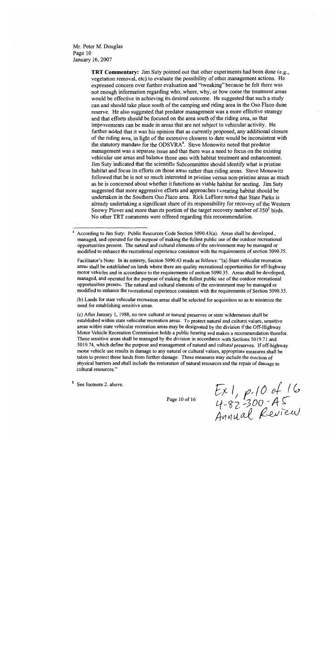Mr. Peter M. Douglas Page 10 January 16, 2007

> TRT Commentary: Jim Suty pointed out that other experiments had been done (e.g., vegetation removal, etc) to evaluate the possibility of other management actions. He expressed concern over further evaluation and "tweaking" because he felt there was not enough information regarding who, where, why, or how come the treatment areas would be effective in achieving its desired outcome. He suggested that such a study can and should take place south of the camping and riding area in the Oso Flaco dune reserve. He also suggested that predator management was a more effective strategy and that efforts should be focused on the area south of the riding area, so that improvements can be made in areas that are not subject to vehicular activity. He further added that it was his opinion that as currently proposed, any additional closure of the riding area, in light of the extensive closures to date would be inconsistent with the statutory mandate for the ODSVRA<sup>4</sup>. Steve Monowitz noted that predator management was a separate issue and that there was a need to focus on the existing vehicular use areas and balance those uses with habitat treatment and enhancement. Jim Suty indicated that the scientific Subcommittee should identify what is pristine habitat and focus its efforts on those areas rather than riding areas. Steve Monowitz followed that he is not so much interested in pristine versus non-pristine areas as much as he is concerned about whether it functions as viable habitat for nesting. Jim Suty suggested that more aggressive efforts and approaches t creating habitat should be undertaken in the Southern Oso Flaco area. Rick LeFlore noted that State Parks is already undertaking a significant share of its responsibility for recovery of the Western Snowy Plover and more than its portion of the target recovery number of 350<sup>5</sup> birds. No other TRT comments were offered regarding this recommendation.

Facilitator's Note: In its entirety, Section 5090.43 reads as follows: "(a) State vehicular recreation areas shall be established on lands where there are quality recreational opportunities for off-highway motor vehicles and in accordance to the requirements of section 5090.35. Areas shall be developed, managed, and operated for the purpose of making the fullest public use of the outdoor recreational opportunities present. The natural and cultural elements of the environment may be managed or modified to enhance the recreational experience consistent with the requirements of Section 5090.35.

(b) Lands for state vehicular recreation areas shall be selected for acquisition so as to minimize the need for establishing sensitive areas.

(c) After January 1, 1988, no new cultural or natural preserves or state wildernesses shall be established within state vehicular recreation areas. To protect natural and cultural values, sensitive areas within state vehicular recreation areas may be designated by the division if the Off-Highway Motor Vehicle Recreation Commission holds a public hearing and makes a recommendation therefor. These sensitive areas shall be managed by the division in accordance with Sections 5019.71 and 5019.74, which define the purpose and management of natural and cultural preserves. If off-highway motor vehicle use results in damage to any natural or cultural values, appropriate measures shall be taken to protect these lands from further damage. These measures may include the erection of physical barriers and shall include the restoration of natural resources and the repair of damage to cultural resources."

See footnote 2. above.

Page 10 of 16

 $Ex1, p.10$  of 16<br>4-82-300-AS<br>Annual Review

According to Jim Suty: Public Resources Code Section 5090.43(a). Areas shall be developed, managed, and operated for the purpose of making the fullest public use of the outdoor recreational opportunities present. The natural and cultural elements of the environment may be managed or modified to enhance the recreational experience consistent with the requirements of section 5090.35.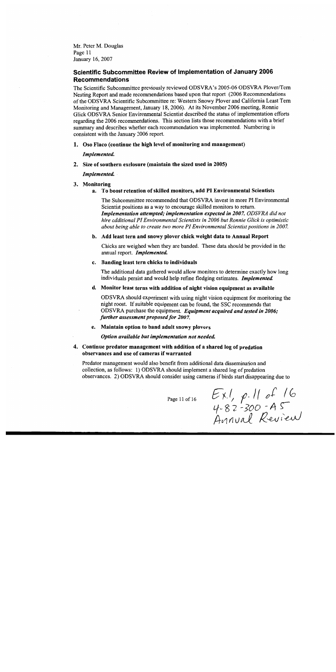Mr. Peter M. Douglas Page 11 January 16, 2007

# Scientific Subcommittee Review of Implementation of January 2006 **Recommendations**

The Scientific Subcommittee previously reviewed ODSVRA's 2005-06 ODSVRA Plover/Tern Nesting Report and made recommendations based upon that report (2006 Recommendations of the ODSVRA Scientific Subcommittee re: Western Snowy Plover and California Least Tern Monitoring and Management, January 18, 2006). At its November 2006 meeting, Ronnie Glick ODSVRA Senior Environmental Scientist described the status of implementation efforts regarding the 2006 recommendations. This section lists those recommendations with a brief summary and describes whether each recommendation was implemented. Numbering is consistent with the January 2006 report.

1. Oso Flaco (continue the high level of monitoring and management)

Implemented.

2. Size of southern exclosure (maintain the sized used in 2005)

Implemented.

- 3. Monitoring
	- To boost retention of skilled monitors, add PI Environmental Scientists a.

The Subcommittee recommended that ODSVRA invest in more PI Environmental Scientist positions as a way to encourage skilled monitors to return. **Implementation attempted; implementation expected in 2007. ODSVRA** did not hire additional PI Environmental Scientists in 2006 but Ronnie Glick is optimistic about being able to create two more PI Environmental Scientist positions in 2007.

b. Add least tern and snowy plover chick weight data to Annual Report

Chicks are weighed when they are banded. These data should be provided in the annual report. Implemented.

Banding least tern chicks to individuals c.

The additional data gathered would allow monitors to determine exactly how long individuals persist and would help refine fledging estimates. Implemented.

d. Monitor least terns with addition of night vision equipment as available

ODSVRA should experiment with using night vision equipment for monitoring the night roost. If suitable equipment can be found, the SSC recommends that ODSVRA purchase the equipment. Equipment acquired and tested in 2006; further assessment proposed for 2007.

e. Maintain option to band adult snowy plovers

Option available but implementation not needed.

# 4. Continue predator management with addition of a shared log of predation observances and use of cameras if warranted

Predator management would also benefit from additional data dissemination and collection, as follows: 1) ODSVRA should implement a shared log of predation observances. 2) ODSVRA should consider using cameras if birds start disappearing due to

Page 11 of 16

 $EXI, p.11 of 16  
4-82-300 - A5  
Annual Review$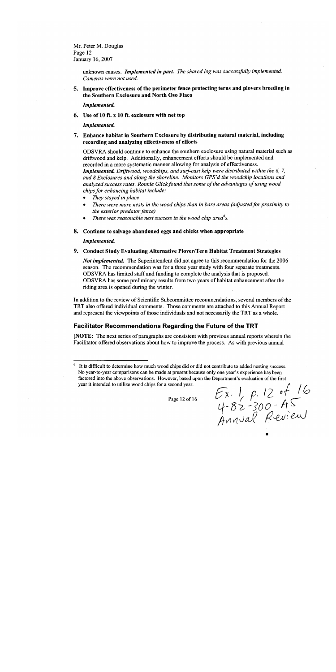Mr. Peter M. Douglas Page 12 January 16, 2007

> unknown causes. Implemented in part. The shared log was successfully implemented. Cameras were not used.

5. Improve effectiveness of the perimeter fence protecting terns and plovers breeding in the Southern Exclosure and North Oso Flaco

Implemented.

6. Use of 10 ft. x 10 ft. exclosure with net top

### Implemented.

7. Enhance habitat in Southern Exclosure by distributing natural material, including recording and analyzing effectiveness of efforts

ODSVRA should continue to enhance the southern exclosure using natural material such as driftwood and kelp. Additionally, enhancement efforts should be implemented and recorded in a more systematic manner allowing for analysis of effectiveness. **Implemented.** Driftwood, woodchips, and surf-cast kelp were distributed within the 6, 7, and 8 Exclosures and along the shoreline. Monitors GPS'd the woodchip locations and analyzed success rates. Ronnie Glick found that some of the advantages of using wood chips for enhancing habitat include:

- They stayed in place
- There were more nests in the wood chips than in bare areas (adjusted for proximity to the exterior predator fence)
- There was reasonable nest success in the wood chip area<sup>6</sup>s.
- 8. Continue to salvage abandoned eggs and chicks when appropriate

### Implemented.

9. Conduct Study Evaluating Alternative Plover/Tern Habitat Treatment Strategies

Not implemented. The Superintendent did not agree to this recommendation for the 2006 season. The recommendation was for a three year study with four separate treatments. ODSVRA has limited staff and funding to complete the analysis that is proposed. ODSVRA has some preliminary results from two years of habitat enhancement after the riding area is opened during the winter.

In addition to the review of Scientific Subcommittee recommendations, several members of the TRT also offered individual comments. Those comments are attached to this Annual Report and represent the viewpoints of those individuals and not necessarily the TRT as a whole.

# Facilitator Recommendations Regarding the Future of the TRT

[NOTE: The next series of paragraphs are consistent with previous annual reports wherein the Facilitator offered observations about how to improve the process. As with previous annual

It is difficult to determine how much wood chips did or did not contribute to added nesting success. No year-to-year comparisons can be made at present because only one year's experience has been factored into the above observations. However, based upon the Department's evaluation of the first year it intended to utilize wood chips for a second year.

Page 12 of 16

 $Ex.1 p. 12$  of 16<br>4-82-300-A5<br>Annual Review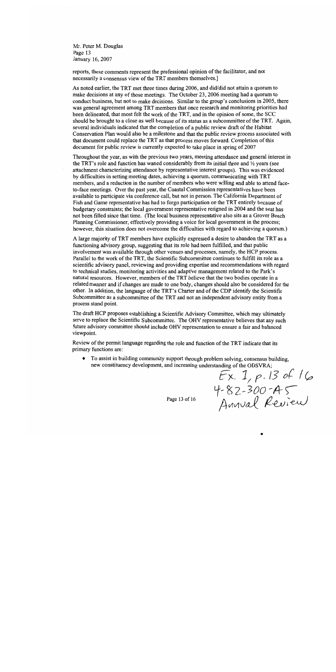Mr. Peter M. Douglas Page 13 January 16, 2007

reports, these comments represent the professional opinion of the facilitator, and not necessarily a consensus view of the TRT members themselves.]

As noted earlier, the TRT met three times during 2006, and did/did not attain a quorum to make decisions at any of those meetings. The October 23, 2006 meeting had a quorum to conduct business, but not to make decisions. Similar to the group's conclusions in 2005, there was general agreement among TRT members that once research and monitoring priorities had been delineated, that most felt the work of the TRT, and in the opinion of some, the SCC should be brought to a close as well because of its status as a subcommittee of the TRT. Again, several individuals indicated that the completion of a public review draft of the Habitat Conservation Plan would also be a milestone and that the public review process associated with that document could replace the TRT as that process moves forward. Completion of this document for public review is currently expected to take place in spring of 2007

Throughout the year, as with the previous two years, meeting attendance and general interest in the TRT's role and function has waned considerably from its initial three and 1/2 years (see attachment characterizing attendance by representative interest groups). This was evidenced by difficulties in setting meeting dates, achieving a quorum, communicating with TRT members, and a reduction in the number of members who were willing and able to attend faceto-face meetings. Over the past year, the Coastal Commission representatives have been available to participate via conference call, but not in person. The California Department of Fish and Game representative has had to forgo participation on the TRT entirely because of budgetary constraints; the local government representative resigned in 2004 and the seat has not been filled since that time. (The local business representative also sits as a Grover Beach Planning Commissioner, effectively providing a voice for local government in the process; however, this situation does not overcome the difficulties with regard to achieving a quorum.)

A large majority of TRT members have explicitly expressed a desire to abandon the TRT as a functioning advisory group, suggesting that its role had been fulfilled, and that public involvement was available through other venues and processes, namely, the HCP process. Parallel to the work of the TRT, the Scientific Subcommittee continues to fulfill its role as a scientific advisory panel, reviewing and providing expertise and recommendations with regard to technical studies, monitoring activities and adaptive management related to the Park's natural resources. However, members of the TRT believe that the two bodies operate in a related manner and if changes are made to one body, changes should also be considered for the other. In addition, the language of the TRT's Charter and of the CDP identify the Scientific Subcommittee as a subcommittee of the TRT and not an independent advisory entity from a process stand point.

The draft HCP proposes establishing a Scientific Advisory Committee, which may ultimately serve to replace the Scientific Subcommittee. The OHV representative believes that any such future advisory committee should include OHV representation to ensure a fair and balanced viewpoint.

Review of the permit language regarding the role and function of the TRT indicate that its primary functions are:

To assist in building community support through problem solving, consensus building,  $\blacklozenge$ new constituency development, and increasing understanding of the ODSVRA;

 $EX. 1, p.13 of 16  
4-82-300-45  
Auval Review$ 

Page 13 of 16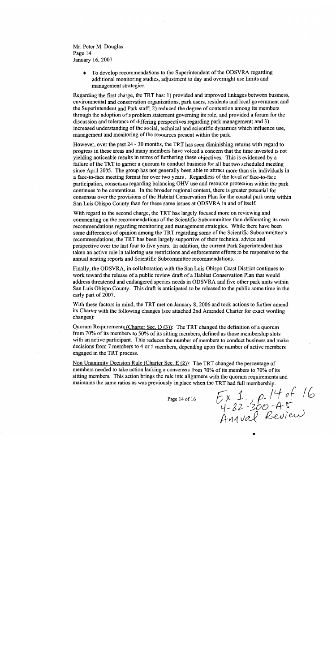Mr. Peter M. Douglas Page 14 January 16, 2007

> To develop recommendations to the Superintendent of the ODSVRA regarding  $\bullet$ additional monitoring studies, adjustment to day and overnight use limits and management strategies.

Regarding the first charge, the TRT has: 1) provided and improved linkages between business, environmental and conservation organizations, park users, residents and local government and the Superintendent and Park staff; 2) reduced the degree of contention among its members through the adoption of a problem statement governing its role, and provided a forum for the discussion and tolerance of differing perspectives regarding park management; and 3) increased understanding of the social, technical and scientific dynamics which influence use, management and monitoring of the resources present within the park.

However, over the past 24 - 30 months, the TRT has seen diminishing returns with regard to progress in these areas and many members have voiced a concern that the time invested is not yielding noticeable results in terms of furthering these objectives. This is evidenced by a failure of the TRT to garner a quorum to conduct business for all but two scheduled meeting since April 2005. The group has not generally been able to attract more than six individuals in a face-to-face meeting format for over two years. Regardless of the level of face-to-face participation, consensus regarding balancing OHV use and resource protection within the park continues to be contentious. In the broader regional context, there is greater potential for consensus over the provisions of the Habitat Conservation Plan for the coastal park units within San Luis Obispo County than for these same issues at ODSVRA in and of itself.

With regard to the second charge, the TRT has largely focused more on reviewing and commenting on the recommendations of the Scientific Subcommittee than deliberating its own recommendations regarding monitoring and management strategies. While there have been some differences of opinion among the TRT regarding some of the Scientific Subcommittee's recommendations, the TRT has been largely supportive of their technical advice and perspective over the last four to five years. In addition, the current Park Superintendent has taken an active role in tailoring use restrictions and enforcement efforts to be responsive to the annual nesting reports and Scientific Subcommittee recommendations.

Finally, the ODSVRA, in collaboration with the San Luis Obispo Coast District continues to work toward the release of a public review draft of a Habitat Conservation Plan that would address threatened and endangered species needs in ODSVRA and five other park units within San Luis Obispo County. This draft is anticipated to be released to the public some time in the early part of 2007.

With these factors in mind, the TRT met on January 8, 2006 and took actions to further amend its Charter with the following changes (see attached 2nd Amended Charter for exact wording changes):

Quorum Requirements (Charter Sec. D $(3)$ ): The TRT changed the definition of a quorum from 70% of its members to 50% of its sitting members, defined as those membership slots with an active participant. This reduces the number of members to conduct business and make decisions from 7 members to 4 or 5 members, depending upon the number of active members engaged in the TRT process.

Non Unanimity Decision Rule (Charter Sec. E  $(2)$ ): The TRT changed the percentage of members needed to take action lacking a consensus from 70% of its members to 70% of its sitting members. This action brings the rule into alignment with the quorum requirements and maintains the same ratios as was previously in place when the TRT had full membership.

Page 14 of 16

 $E_{x}$  1.  $P$ -14 of 16<br>4-82-300-A5<br>Annval Review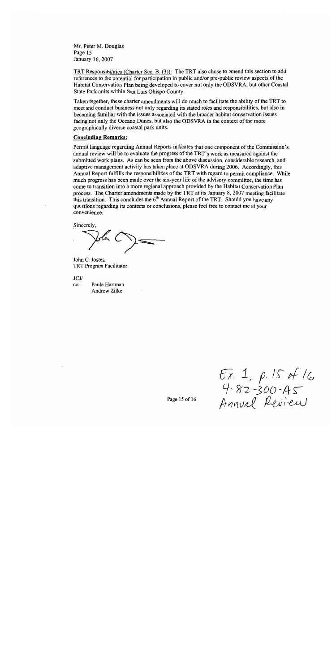Mr. Peter M. Douglas Page 15 January 16, 2007

TRT Responsibilities (Charter Sec. B. (3)): The TRT also chose to amend this section to add references to the potential for participation in public and/or pre-public review aspects of the Habitat Conservation Plan being developed to cover not only the ODSVRA, but other Coastal State Park units within San Luis Obispo County.

Taken together, these charter amendments will do much to facilitate the ability of the TRT to meet and conduct business not only regarding its stated roles and responsibilities, but also in becoming familiar with the issues associated with the broader habitat conservation issues facing not only the Oceano Dunes, but also the ODSVRA in the context of the more geographically diverse coastal park units.

# **Concluding Remarks:**

Permit language regarding Annual Reports indicates that one component of the Commission's annual review will be to evaluate the progress of the TRT's work as measured against the submitted work plans. As can be seen from the above discussion, considerable research, and adaptive management activity has taken place at ODSVRA during 2006. Accordingly, this Annual Report fulfills the responsibilities of the TRT with regard to permit compliance. While much progress has been made over the six-year life of the advisory committee, the time has come to transition into a more regional approach provided by the Habitat Conservation Plan process. The Charter amendments made by the TRT at its January 8, 2007 meeting facilitate this transition. This concludes the 6<sup>th</sup> Annual Report of the TRT. Should you have any questions regarding its contents or conclusions, please feel free to contact me at your convenience.

Sincerely,

John C. Jostes. TRT Program Facilitator

 $JCJ/$ cc: Paula Hartman Andrew Zilke

 $Ex. 1, p.15 of 16  
4-82-300-45  
Anuval Review$ 

Page 15 of 16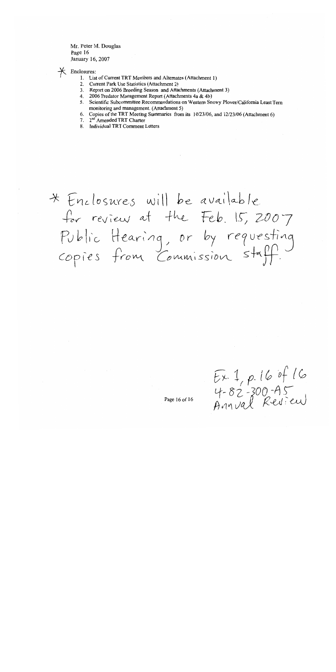Mr. Peter M. Douglas Page 16 January 16, 2007

 $\star$  Enclosures:

- 1. List of Current TRT Members and Alternates (Attachment 1)
- 2. Current Park Use Statistics (Attachment 2)
- 3. Report on 2006 Breeding Season and Attachments (Attachment 3)
- 4. 2006 Predator Management Report (Attachments 4a & 4b)
- 5. Scientific Subcommittee Recommendations on Western Snowy Plover/California Least Tern monitoring and management. (Attachment 5)
- 6. Copies of the TRT Meeting Summaries from its 10/23/06, and 12/23/06 (Attachment 6)
- 7. 2<sup>nd</sup> Amended TRT Charter
- 8. Individual TRT Comment Letters

\* Enclosures will be available for review at the Feb. 15, 2007 Public Hearing, or by requesting<br>copies from Commission staff.

 $E x 1, p.16$  of 16<br>4-82-300-A5<br>Annval Review

Page 16 of 16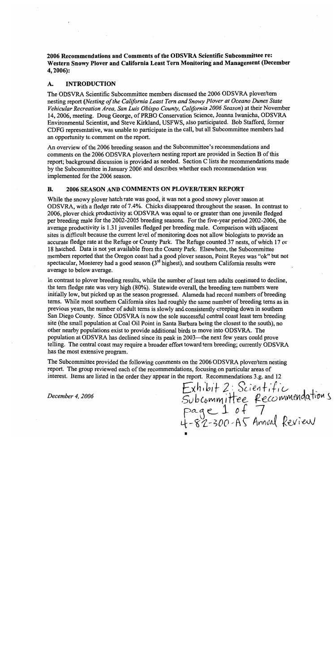2006 Recommendations and Comments of the ODSVRA Scientific Subcommittee re: Western Snowy Plover and California Least Tern Monitoring and Management (December  $4,2006$ :

#### **INTRODUCTION** A.

The ODSVRA Scientific Subcommittee members discussed the 2006 ODSVRA plover/tern nesting report (Nesting of the California Least Tern and Snowy Plover at Oceano Dunes State Vehicular Recreation Area, San Luis Obispo County, California 2006 Season) at their November 14, 2006, meeting. Doug George, of PRBO Conservation Science, Joanna Iwanicha, ODSVRA Environmental Scientist, and Steve Kirkland, USFWS, also participated. Bob Stafford, former CDFG representative, was unable to participate in the call, but all Subcommittee members had an opportunity to comment on the report.

An overview of the 2006 breeding season and the Subcommittee's recommendations and comments on the 2006 ODSVRA plover/tern nesting report are provided in Section B of this report; background discussion is provided as needed. Section C lists the recommendations made by the Subcommittee in January 2006 and describes whether each recommendation was implemented for the 2006 season.

#### **B.** 2006 SEASON AND COMMENTS ON PLOVER/TERN REPORT

While the snowy plover hatch rate was good, it was not a good snowy plover season at ODSVRA, with a fledge rate of 7.4%. Chicks disappeared throughout the season. In contrast to 2006, plover chick productivity at ODSVRA was equal to or greater than one juvenile fledged per breeding male for the 2002-2005 breeding seasons. For the five-year period 2002-2006, the average productivity is 1.31 juveniles fledged per breeding male. Comparison with adjacent sites is difficult because the current level of monitoring does not allow biologists to provide an accurate fledge rate at the Refuge or County Park. The Refuge counted 37 nests, of which 17 or 18 hatched. Data is not yet available from the County Park. Elsewhere, the Subcommittee members reported that the Oregon coast had a good plover season, Point Reyes was "ok" but not spectacular, Monterey had a good season (3<sup>rd</sup> highest), and southern California results were average to below average.

In contrast to plover breeding results, while the number of least tern adults continued to decline, the tern fledge rate was very high (80%). Statewide overall, the breeding tern numbers were initially low, but picked up as the season progressed. Alameda had record numbers of breeding terns. While most southern California sites had roughly the same number of breeding terns as in previous years, the number of adult terms is slowly and consistently creeping down in southern San Diego County. Since ODSVRA is now the sole successful central coast least tern breeding site (the small population at Coal Oil Point in Santa Barbara being the closest to the south), no other nearby populations exist to provide additional birds to move into ODSVRA. The population at ODSVRA has declined since its peak in 2003—the next few years could prove telling. The central coast may require a broader effort toward tern breeding; currently ODSVRA has the most extensive program.

The Subcommittee provided the following comments on the 2006 ODSVRA plover/tern nesting report. The group reviewed each of the recommendations, focusing on particular areas of interest. Items are listed in the order they appear in the report. Recommendations 3.g. and 12

December 4, 2006

Exhibit 2: Scientific<br>Subcommittee Recommendations<br>Page 1 of 7<br>4-82-300-A5 Annual Review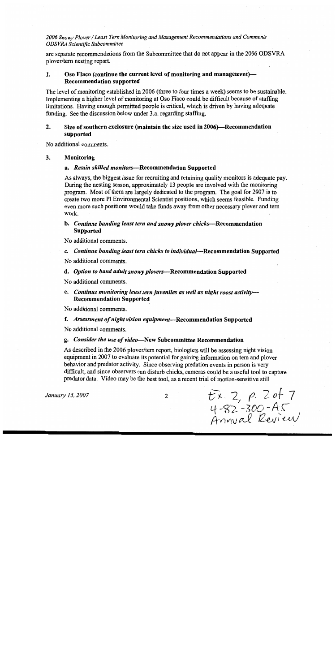are separate recommendations from the Subcommittee that do not appear in the 2006 ODSVRA plover/tern nesting report.

#### 1. Oso Flaco (continue the current level of monitoring and management)— **Recommendation supported**

The level of monitoring established in 2006 (three to four times a week) seems to be sustainable. Implementing a higher level of monitoring at Oso Flaco could be difficult because of staffing limitations. Having enough permitted people is critical, which is driven by having adequate funding. See the discussion below under 3.a. regarding staffing.

#### $2.$ Size of southern exclosure (maintain the size used in 2006)—Recommendation supported

No additional comments.

#### $3.$ Monitoring

# a. Retain skilled monitors—Recommendation Supported

As always, the biggest issue for recruiting and retaining quality monitors is adequate pay. During the nesting season, approximately 13 people are involved with the monitoring program. Most of them are largely dedicated to the program. The goal for 2007 is to create two more PI Environmental Scientist positions, which seems feasible. Funding even more such positions would take funds away from other necessary plover and term work.

# b. Continue banding least tern and snowy plover chicks—Recommendation **Supported**

No additional comments.

c. Continue banding least tern chicks to individual-Recommendation Supported

No additional comments.

# d. Option to band adult snowy plovers-Recommendation Supported

No additional comments.

e. Continue monitoring least tern juveniles as well as night roost activity-**Recommendation Supported** 

No additional comments.

## f. Assessment of night vision equipment-Recommendation Supported

No additional comments.

# g. Consider the use of video-New Subcommittee Recommendation

As described in the 2006 plover/tern report, biologists will be assessing night vision equipment in 2007 to evaluate its potential for gaining information on tern and ployer behavior and predator activity. Since observing predation events in person is very difficult, and since observers can disturb chicks, cameras could be a useful tool to capture predator data. Video may be the best tool, as a recent trial of motion-sensitive still

January 15, 2007

 $\overline{2}$ 

 $Ex. 2, p. 2 of 7  
4-82-300-AS  
Annual Review$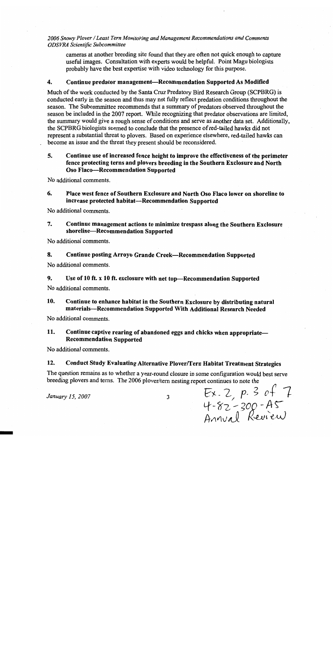cameras at another breeding site found that they are often not quick enough to capture useful images. Consultation with experts would be helpful. Point Magu biologists probably have the best expertise with video technology for this purpose.

#### Continue predator management--Recommendation Supported As Modified 4.

Much of the work conducted by the Santa Cruz Predatory Bird Research Group (SCPBRG) is conducted early in the season and thus may not fully reflect predation conditions throughout the season. The Subcommittee recommends that a summary of predators observed throughout the season be included in the 2007 report. While recognizing that predator observations are limited, the summary would give a rough sense of conditions and serve as another data set. Additionally, the SCPBRG biologists seemed to conclude that the presence of red-tailed hawks did not represent a substantial threat to plovers. Based on experience elsewhere, red-tailed hawks can become an issue and the threat they present should be reconsidered.

### 5. Continue use of increased fence height to improve the effectiveness of the perimeter fence protecting terns and plovers breeding in the Southern Exclosure and North Oso Flaco-Recommendation Supported

No additional comments.

#### 6. Place west fence of Southern Exclosure and North Oso Flaco lower on shoreline to increase protected habitat-Recommendation Supported

No additional comments.

#### 7. Continue management actions to minimize trespass along the Southern Exclosure shoreline-Recommendation Supported

No additional comments.

#### 8. Continue posting Arroyo Grande Creek-Recommendation Supported

No additional comments.

#### 9. Use of 10 ft. x 10 ft. exclosure with net top-Recommendation Supported

No additional comments.

#### 10. Continue to enhance habitat in the Southern Exclosure by distributing natural materials-Recommendation Supported With Additional Research Needed

No additional comments.

#### 11. Continue captive rearing of abandoned eggs and chicks when appropriate-**Recommendation Supported**

No additional comments.

#### 12. Conduct Study Evaluating Alternative Plover/Tern Habitat Treatment Strategies

The question remains as to whether a year-round closure in some configuration would best serve breeding plovers and terns. The 2006 plover/tern nesting report continues to note the

January 15, 2007

 $\overline{3}$ 

 $Ex. 2, p. 3 of 7  
4-82-300 - AS  
Annual Review$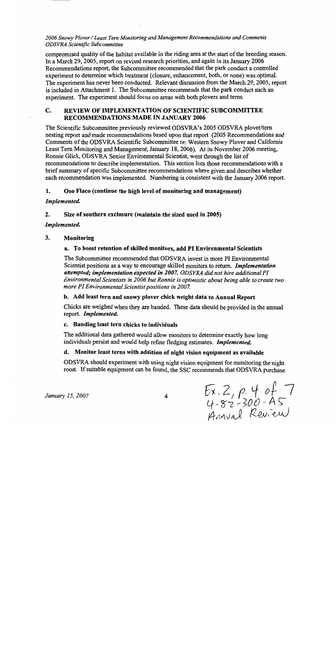compromised quality of the habitat available in the riding area at the start of the breeding season. In a March 29, 2005, report on revised research priorities, and again in its January 2006 Recommendations report, the Subcommittee recommended that the park conduct a controlled experiment to determine which treatment (closure, enhancement, both, or none) was optimal. The experiment has never been conducted. Relevant discussion from the March 29, 2005, report is included in Attachment 1. The Subcommittee recommends that the park conduct such an experiment. The experiment should focus on areas with both plovers and terns.

#### $\mathbf{C}$ REVIEW OF IMPLEMENTATION OF SCIENTIFIC SUBCOMMITTEE **RECOMMENDATIONS MADE IN JANUARY 2006**

The Scientific Subcommittee previously reviewed ODSVRA's 2005 ODSVRA plover/tern nesting report and made recommendations based upon that report (2005 Recommendations and Comments of the ODSVRA Scientific Subcommittee re: Western Snowy Plover and California Least Tern Monitoring and Management, January 18, 2006). At its November 2006 meeting, Ronnie Glick, ODSVRA Senior Environmental Scientist, went through the list of recommendations to describe implementation. This section lists those recommendations with a brief summary of specific Subcommittee recommendations where given and describes whether each recommendation was implemented. Numbering is consistent with the January 2006 report.

#### 1. Oso Flaco (continue the high level of monitoring and management)

### Implemented.

#### $2.$ Size of southern exclosure (maintain the sized used in 2005)

## Implemented.

#### 3. Monitoring

# a. To boost retention of skilled monitors, add PI Environmental Scientists

The Subcommittee recommended that ODSVRA invest in more PI Environmental Scientist positions as a way to encourage skilled monitors to return. *Implementation* attempted; implementation expected in 2007. ODSVRA did not hire additional PI Environmental Scientists in 2006 but Ronnie is optimistic about being able to create two more PI Environmental Scientist positions in 2007.

# b. Add least tern and snowy plover chick weight data to Annual Report

Chicks are weighed when they are banded. These data should be provided in the annual report. Implemented.

### c. Banding least tern chicks to individuals

The additional data gathered would allow monitors to determine exactly how long individuals persist and would help refine fledging estimates. Implemented.

# d. Monitor least terns with addition of night vision equipment as available

ODSVRA should experiment with using night vision equipment for monitoring the night roost. If suitable equipment can be found, the SSC recommends that ODSVRA purchase

January 15, 2007

 $Ex.2, p.4 of 7  
4-82-300 - AS  
Annual Rewieu)$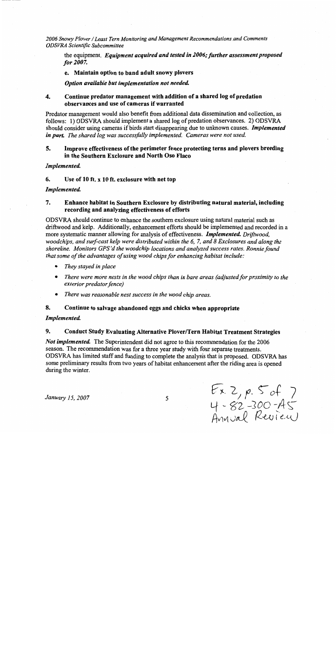the equipment. Equipment acquired and tested in 2006; further assessment proposed for 2007.

# e. Maintain option to band adult snowy plovers

Option available but implementation not needed.

#### $\overline{4}$ . Continue predator management with addition of a shared log of predation observances and use of cameras if warranted

Predator management would also benefit from additional data dissemination and collection, as follows: 1) ODSVRA should implement a shared log of predation observances. 2) ODSVRA should consider using cameras if birds start disappearing due to unknown causes. *Implemented* in part. The shared log was successfully implemented. Cameras were not used.

#### $5<sub>1</sub>$ Improve effectiveness of the perimeter fence protecting terns and plovers breeding in the Southern Exclosure and North Oso Flaco

# Implemented.

6. Use of 10 ft. x 10 ft. exclosure with net top

### Implemented.

#### 7. Enhance habitat in Southern Exclosure by distributing natural material, including recording and analyzing effectiveness of efforts

ODSVRA should continue to enhance the southern exclosure using natural material such as driftwood and kelp. Additionally, enhancement efforts should be implemented and recorded in a more systematic manner allowing for analysis of effectiveness. *Implemented, Driftwood*, woodchips, and surf-cast kelp were distributed within the 6, 7, and 8 Exclosures and along the shoreline. Monitors GPS'd the woodchip locations and analyzed success rates. Ronnie found that some of the advantages of using wood chips for enhancing habitat include:

- They stayed in place
- There were more nests in the wood chips than in bare areas (adjusted for proximity to the exterior predator fence)
- $\bullet$ There was reasonable nest success in the wood chip areas.

#### 8. Continue to salvage abandoned eggs and chicks when appropriate

# Implemented.

#### $9<sub>z</sub>$ **Conduct Study Evaluating Alternative Plover/Tern Habitat Treatment Strategies**

*Not implemented.* The Superintendent did not agree to this recommendation for the 2006 season. The recommendation was for a three year study with four separate treatments. ODSVRA has limited staff and funding to complete the analysis that is proposed. ODSVRA has some preliminary results from two years of habitat enhancement after the riding area is opened during the winter.

January 15, 2007

 $Ex. 2, p. 5 of 7  
4 - 82 -300 - AS  
Annual Review$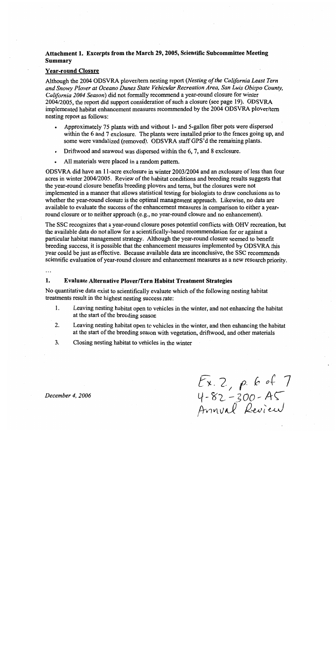# Attachment 1. Excerpts from the March 29, 2005, Scientific Subcommittee Meeting **Summary**

# **Year-round Closure**

Although the 2004 ODSVRA plover/tern nesting report (Nesting of the California Least Tern and Snowy Plover at Oceano Dunes State Vehicular Recreation Area, San Luis Obispo County, California 2004 Season) did not formally recommend a year-round closure for winter 2004/2005, the report did support consideration of such a closure (see page 19). ODSVRA implemented habitat enhancement measures recommended by the 2004 ODSVRA plover/tern nesting report as follows:

- Approximately 75 plants with and without 1- and 5-gallon fiber pots were dispersed within the 6 and 7 exclosure. The plants were installed prior to the fences going up, and some were vandalized (removed). ODSVRA staff GPS'd the remaining plants.
- Driftwood and seaweed was dispersed within the 6, 7, and 8 exclosure.  $\bullet$
- All materials were placed in a random pattern.

ODSVRA did have an 11-acre exclosure in winter 2003/2004 and an exclosure of less than four acres in winter 2004/2005. Review of the habitat conditions and breeding results suggests that the year-round closure benefits breeding plovers and terns, but the closures were not implemented in a manner that allows statistical testing for biologists to draw conclusions as to whether the year-round closure is the optimal management approach. Likewise, no data are available to evaluate the success of the enhancement measures in comparison to either a yearround closure or to neither approach (e.g., no year-round closure and no enhancement).

The SSC recognizes that a year-round closure poses potential conflicts with OHV recreation, but the available data do not allow for a scientifically-based recommendation for or against a particular habitat management strategy. Although the year-round closure seemed to benefit breeding success, it is possible that the enhancement measures implemented by ODSVRA this year could be just as effective. Because available data are inconclusive, the SSC recommends scientific evaluation of year-round closure and enhancement measures as a new research priority.

. . .

#### 1. **Evaluate Alternative Plover/Tern Habitat Treatment Strategies**

No quantitative data exist to scientifically evaluate which of the following nesting habitat treatments result in the highest nesting success rate:

- 1. Leaving nesting habitat open to vehicles in the winter, and not enhancing the habitat at the start of the breeding season
- 2. Leaving nesting habitat open to vehicles in the winter, and then enhancing the habitat at the start of the breeding season with vegetation, driftwood, and other materials
- 3. Closing nesting habitat to vehicles in the winter

Ex. 2, p. 6 of 7<br>4-82-300-A5<br>Annval Review

December 4, 2006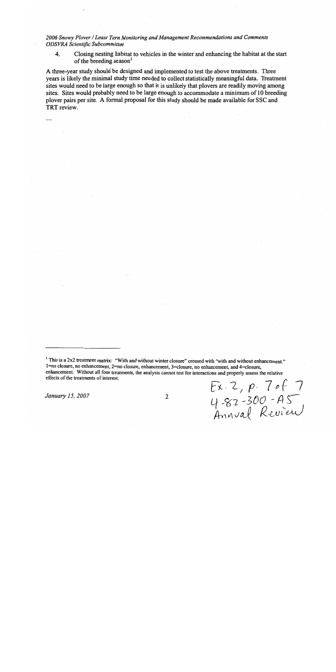$\overline{4}$ . Closing nesting habitat to vehicles in the winter and enhancing the habitat at the start of the breeding season<sup>1</sup>

A three-year study should be designed and implemented to test the above treatments. Three years is likely the minimal study time needed to collect statistically meaningful data. Treatment sites would need to be large enough so that it is unlikely that ployers are readily moving among sites. Sites would probably need to be large enough to accommodate a minimum of 10 breeding plover pairs per site. A formal proposal for this study should be made available for SSC and TRT review.

...

January 15, 2007

<sup>&</sup>lt;sup>1</sup> This is a 2x2 treatment matrix: "With and without winter closure" crossed with "with and without enhancement." 1=no closure, no enhancement, 2=no closure, enhancement, 3=closure, no enhancement, and 4=closure, enhancement. Without all four treatments, the analysis cannot test for interactions and properly assess the relative effects of the treatments of interest. Ex. 2, p. 7 of 7<br>4-82-300-A5<br>Annval Review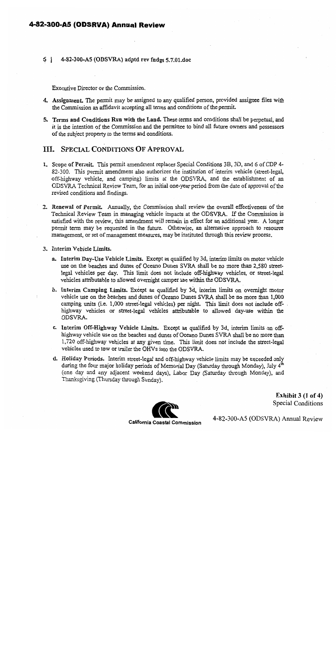# 4-82-300-A5 (ODSRVA) Annual Review

# 5 | 4-82-300-A5 (ODSVRA) adptd rev fndgs 5.7.01.doc

Executive Director or the Commission.

- 4. Assignment. The permit may be assigned to any qualified person, provided assignee files with the Commission an affidavit accepting all terms and conditions of the permit.
- 5. Terms and Conditions Run with the Land. These terms and conditions shall be perpetual, and it is the intention of the Commission and the permittee to bind all future owners and possessors of the subject property to the terms and conditions.

# **III. SPECIAL CONDITIONS OF APPROVAL**

- 1. Scope of Permit. This permit amendment replaces Special Conditions 3B, 3D, and 6 of CDP 4-82-300. This permit amendment also authorizes the institution of interim vehicle (street-legal, off-highway vehicle, and camping) limits at the ODSVRA, and the establishment of an ODSVRA Technical Review Team, for an initial one-year period from the date of approval of the revised conditions and findings.
- 2. Renewal of Permit. Annually, the Commission shall review the overall effectiveness of the Technical Review Team in managing vehicle impacts at the ODSVRA. If the Commission is satisfied with the review, this amendment will remain in effect for an additional year. A longer permit term may be requested in the future. Otherwise, an alternative approach to resource management, or set of management measures, may be instituted through this review process.

3. Interim Vehicle Limits.

- a. Interim Day-Use Vehicle Limits. Except as qualified by 3d, interim limits on motor vehicle use on the beaches and dunes of Oceano Dunes SVRA shall be no more than 2,580 streetlegal vehicles per day. This limit does not include off-highway vehicles, or street-legal vehicles attributable to allowed overnight camper use within the ODSVRA.
- b. Interim Camping Limits. Except as qualified by 3d, interim limits on overnight motor vehicle use on the beaches and dunes of Oceano Dunes SVRA shall be no more than 1,000 camping units (i.e. 1,000 street-legal vehicles) per night. This limit does not include offhighway vehicles or street-legal vehicles attributable to allowed day-use within the ODSVRA.
- c. Interim Off-Highway Vehicle Limits. Except as qualified by 3d, interim limits on offhighway vehicle use on the beaches and dunes of Oceano Dunes SVRA shall be no more than 1,720 off-highway vehicles at any given time. This limit does not include the street-legal vehicles used to tow or trailer the OHVs into the ODSVRA.
- d. Holiday Periods. Interim street-legal and off-highway vehicle limits may be exceeded only during the four major holiday periods of Memorial Day (Saturday through Monday), July 4<sup>th</sup> (one day and any adjacent weekend days), Labor Day (Saturday through Monday), and Thanksgiving (Thursday through Sunday).



Exhibit  $3(1 \text{ of } 4)$ Special Conditions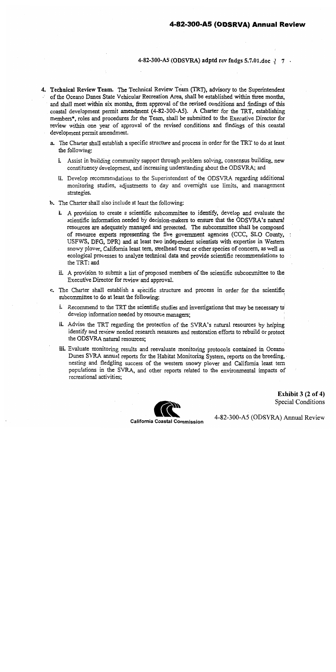# 4-82-300-A5 (ODSVRA) adptd rev fndgs 5.7.01.doc  $\frac{1}{7}$ .

- 4. Technical Review Team. The Technical Review Team (TRT), advisory to the Superintendent of the Oceano Dunes State Vehicular Recreation Area, shall be established within three months, and shall meet within six months, from approval of the revised conditions and findings of this coastal development permit amendment (4-82-300-A5). A Charter for the TRT, establishing members\*, roles and procedures for the Team, shall be submitted to the Executive Director for review within one year of approval of the revised conditions and findings of this coastal development permit amendment.
	- a. The Charter shall establish a specific structure and process in order for the TRT to do at least the following:
		- i. Assist in building community support through problem solving, consensus building, new constituency development, and increasing understanding about the ODSVRA; and
		- ii. Develop recommendations to the Superintendent of the ODSVRA regarding additional monitoring studies, adjustments to day and overnight use limits, and management strategies.
	- b. The Charter shall also include at least the following:
		- i. A provision to create a scientific subcommittee to identify, develop and evaluate the scientific information needed by decision-makers to ensure that the ODSVRA's natural resources are adequately managed and protected. The subcommittee shall be composed of resource experts representing the five government agencies (CCC, SLO County, USFWS, DFG, DPR) and at least two independent scientists with expertise in Western snowy plover, California least tern, steelhead trout or other species of concern, as well as ecological processes to analyze technical data and provide scientific recommendations to the TRT: and
		- ii. A provision to submit a list of proposed members of the scientific subcommittee to the Executive Director for review and approval.
	- c. The Charter shall establish a specific structure and process in order for the scientific subcommittee to do at least the following:
		- i. Recommend to the TRT the scientific studies and investigations that may be necessary to develop information needed by resource managers;
		- ii. Advise the TRT regarding the protection of the SVRA's natural resources by helping identify and review needed research measures and restoration efforts to rebuild or protect the ODSVRA natural resources;
		- iii. Evaluate monitoring results and reevaluate monitoring protocols contained in Oceano Dunes SVRA annual reports for the Habitat Monitoring System, reports on the breeding, nesting and fledgling success of the western snowy plover and California least tern populations in the SVRA, and other reports related to the environmental impacts of recreational activities:



Exhibit  $3(2 \text{ of } 4)$ Special Conditions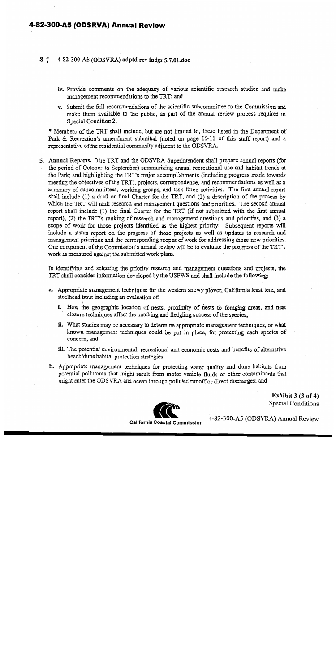# 4-82-300-A5 (ODSRVA) Annual Review

#### $8<sup>1</sup>$ 4-82-300-A5 (ODSVRA) adptd rev fudgs 5.7.01.doc

- iv. Provide comments on the adequacy of various scientific research studies and make management recommendations to the TRT: and
- v. Submit the full recommendations of the scientific subcommittee to the Commission and make them available to the public, as part of the annual review process required in Special Condition 2.

\* Members of the TRT shall include, but are not limited to, those listed in the Department of Park & Recreation's amendment submittal (noted on page 10-11 of this staff report) and a representative of the residential community adjacent to the ODSVRA.

5. Annual Reports. The TRT and the ODSVRA Superintendent shall prepare annual reports (for the period of October to September) summarizing annual recreational use and habitat trends at the Park; and highlighting the TRT's major accomplishments (including progress made towards meeting the objectives of the TRT), projects, correspondence, and recommendations as well as a summary of subcommittees, working groups, and task force activities. The first annual report shall include (1) a draft or final Charter for the TRT, and (2) a description of the process by which the TRT will rank research and management questions and priorities. The second annual report shall include (1) the final Charter for the TRT (if not submitted with the first annual report), (2) the TRT's ranking of research and management questions and priorities, and (3) a scope of work for those projects identified as the highest priority. Subsequent reports will include a status report on the progress of those projects as well as updates to research and management priorities and the corresponding scopes of work for addressing those new priorities. One component of the Commission's annual review will be to evaluate the progress of the TRT's work as measured against the submitted work plans.

In identifying and selecting the priority research and management questions and projects, the TRT shall consider information developed by the USFWS and shall include the following:

- a. Appropriate management techniques for the western snowy plover, California least tern, and steelhead trout including an evaluation of:
	- i. How the geographic location of nests, proximity of nests to foraging areas, and nest closure techniques affect the hatching and fledgling success of the species.
	- ii. What studies may be necessary to determine appropriate management techniques, or what known management techniques could be put in place, for protecting each species of concern, and
	- iii. The potential environmental, recreational and economic costs and benefits of alternative beach/dune habitat protection strategies.
- b. Appropriate management techniques for protecting water quality and dune habitats from potential pollutants that might result from motor vehicle fluids or other contaminants that might enter the ODSVRA and ocean through polluted runoff or direct discharges; and

Exhibit  $3(3 of 4)$ **Special Conditions** 

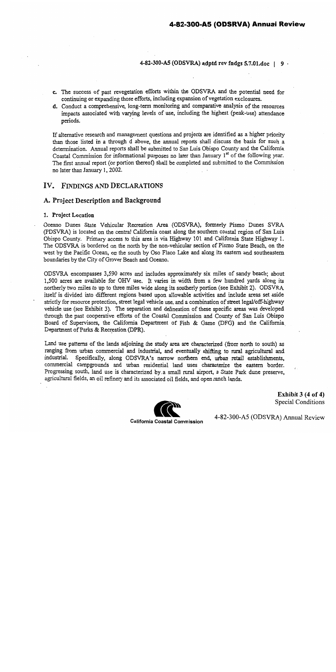# 4-82-300-A5 (ODSVRA) adptd rev fndgs 5.7.01.doc | 9 .

- c. The success of past revegetation efforts within the ODSVRA and the potential need for continuing or expanding those efforts, including expansion of vegetation exclosures.
- d. Conduct a comprehensive, long-term monitoring and comparative analysis of the resources impacts associated with varying levels of use, including the highest (peak-use) attendance periods.

If alternative research and management questions and projects are identified as a higher priority than those listed in a through d above, the annual reports shall discuss the basis for such a determination. Annual reports shall be submitted to San Luis Obispo County and the California Coastal Commission for informational purposes no later than January 1<sup>st</sup> of the following year. The first annual report (or portion thereof) shall be completed and submitted to the Commission no later than January 1, 2002.

# IV. FINDINGS AND DECLARATIONS

# A. Project Description and Background

# 1. Project Location

Oceano Dunes State Vehicular Recreation Area (ODSVRA), formerly Pismo Dunes SVRA (PDSVRA) is located on the central California coast along the southern coastal region of San Luis Obispo County. Primary access to this area is via Highway 101 and California State Highway 1. The ODSVRA is bordered on the north by the non-vehicular section of Pismo State Beach, on the west by the Pacific Ocean, on the south by Oso Flaco Lake and along its eastern and southeastern boundaries by the City of Grover Beach and Oceano.

ODSVRA encompasses 3,590 acres and includes approximately six miles of sandy beach; about 1,500 acres are available for OHV use. It varies in width from a few hundred yards along its northerly two miles to up to three miles wide along its southerly portion (see Exhibit 2). ODSVRA itself is divided into different regions based upon allowable activities and include areas set aside strictly for resource protection, street legal vehicle use, and a combination of street legal/off-highway vehicle use (see Exhibit 3). The separation and delineation of these specific areas was developed through the past cooperative efforts of the Coastal Commission and County of San Luis Obispo Board of Supervisors, the California Department of Fish & Game (DFG) and the California Department of Parks & Recreation (DPR).

Land use patterns of the lands adjoining the study area are characterized (from north to south) as ranging from urban commercial and industrial, and eventually shifting to rural agricultural and industrial. Specifically, along ODSVRA's narrow northern end, urban retail establishments, commercial campgrounds and urban residential land uses characterize the eastern border. Progressing south, land use is characterized by a small rural airport, a State Park dune preserve, agricultural fields, an oil refinery and its associated oil fields, and open ranch lands.



Exhibit  $3(4 of 4)$ **Special Conditions**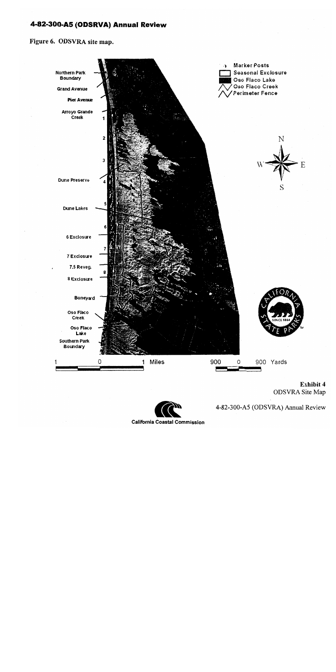# 4-82-300-A5 (ODSRVA) Annual Review

Figure 6. ODSVRA site map.



Exhibit 4 **ODSVRA** Site Map

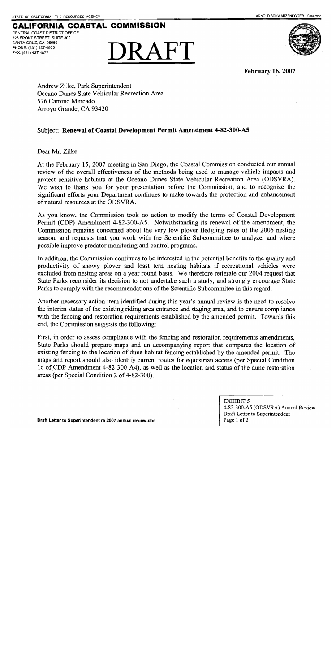# **CALIFORNIA COASTAL COMMISSION** CENTRAL COAST DISTRICT OFFICE

725 FRONT STREET, SUITE 300 SANTA CRUZ, CA 95060 PHONE: (831) 427-4863 FAX: (831) 427-4877





**February 16, 2007** 

Andrew Zilke, Park Superintendent Oceano Dunes State Vehicular Recreation Area 576 Camino Mercado Arroyo Grande, CA 93420

# Subject: Renewal of Coastal Development Permit Amendment 4-82-300-A5

Dear Mr. Zilke:

At the February 15, 2007 meeting in San Diego, the Coastal Commission conducted our annual review of the overall effectiveness of the methods being used to manage vehicle impacts and protect sensitive habitats at the Oceano Dunes State Vehicular Recreation Area (ODSVRA). We wish to thank you for your presentation before the Commission, and to recognize the significant efforts your Department continues to make towards the protection and enhancement of natural resources at the ODSVRA.

As you know, the Commission took no action to modify the terms of Coastal Development Permit (CDP) Amendment 4-82-300-A5. Notwithstanding its renewal of the amendment, the Commission remains concerned about the very low plover fledgling rates of the 2006 nesting season, and requests that you work with the Scientific Subcommittee to analyze, and where possible improve predator monitoring and control programs.

In addition, the Commission continues to be interested in the potential benefits to the quality and productivity of snowy plover and least tern nesting habitats if recreational vehicles were excluded from nesting areas on a year round basis. We therefore reiterate our 2004 request that State Parks reconsider its decision to not undertake such a study, and strongly encourage State Parks to comply with the recommendations of the Scientific Subcommitee in this regard.

Another necessary action item identified during this year's annual review is the need to resolve the interim status of the existing riding area entrance and staging area, and to ensure compliance with the fencing and restoration requirements established by the amended permit. Towards this end, the Commission suggests the following:

First, in order to assess compliance with the fencing and restoration requirements amendments, State Parks should prepare maps and an accompanying report that compares the location of existing fencing to the location of dune habitat fencing established by the amended permit. The maps and report should also identify current routes for equestrian access (per Special Condition 1c of CDP Amendment 4-82-300-A4), as well as the location and status of the dune restoration areas (per Special Condition 2 of 4-82-300).

> **EXHIBIT 5** 4-82-300-A5 (ODSVRA) Annual Review Draft Letter to Superintendent Page 1 of 2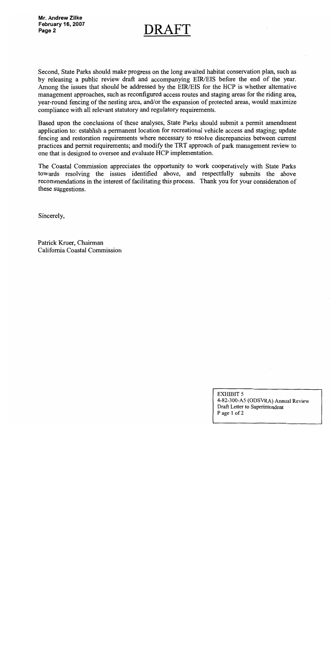$DRAF$ 

Second, State Parks should make progress on the long awaited habitat conservation plan, such as by releasing a public review draft and accompanying EIR/EIS before the end of the year. Among the issues that should be addressed by the EIR/EIS for the HCP is whether alternative management approaches, such as reconfigured access routes and staging areas for the riding area, year-round fencing of the nesting area, and/or the expansion of protected areas, would maximize compliance with all relevant statutory and regulatory requirements.

Based upon the conclusions of these analyses, State Parks should submit a permit amendment application to: establish a permanent location for recreational vehicle access and staging; update fencing and restoration requirements where necessary to resolve discrepancies between current practices and permit requirements; and modify the TRT approach of park management review to one that is designed to oversee and evaluate HCP implementation.

The Coastal Commission appreciates the opportunity to work cooperatively with State Parks towards resolving the issues identified above, and respectfully submits the above recommendations in the interest of facilitating this process. Thank you for your consideration of these suggestions.

Sincerely,

Patrick Kruer, Chairman California Coastal Commission

> **EXHIBIT 5** 4-82-300-A5 (ODSVRA) Annual Review Draft Letter to Superintendent Page 1 of 2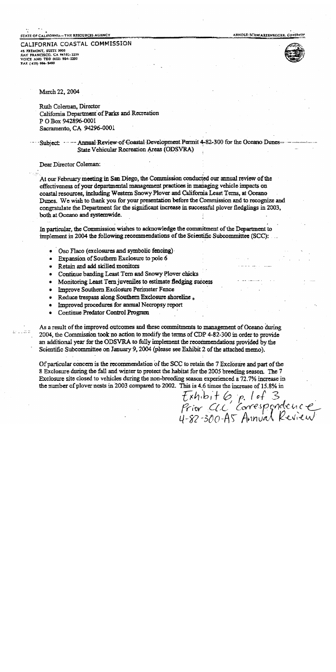STATE OF CALIFORNIA-THE RESOURCES AGENCY

ARNOLD SCHWARZENEGGER. COVERNO

CALIFORNIA COASTAL COMMISSION 45 FREMONT, SUITE 2000 SAN FRANCISCO, CA 94105-2219 VOICE AND TDD (415) 904-5200 FAX (415) 904-5480



March 22, 2004

Ruth Coleman, Director California Department of Parks and Recreation P O Box 942896-0001 Sacramento, CA 94296-0001

Subject ... -- Annual Review of Coastal Development Permit 4-82-300 for the Oceano Dunes-State Vehicular Recreation Areas (ODSVRA)

Dear Director Coleman:

At our February meeting in San Diego, the Commission conducted our annual review of the effectiveness of your departmental management practices in managing vehicle impacts on coastal resources, including Western Snowy Plover and California Least Terns, at Oceano Dunes. We wish to thank you for your presentation before the Commission and to recognize and congratulate the Department for the significant increase in successful plover fledglings in 2003, both at Oceano and systemwide.

In particular, the Commission wishes to acknowledge the commitment of the Department to implement in 2004 the following recommendations of the Scientific Subcommittee (SCC):

- Oso Flaco (exclosures and symbolic fencing)
- Expansion of Southern Exclosure to pole 6
- Retain and add skilled monitors
- Continue banding Least Tern and Snowy Plover chicks
- Monitoring Least Tern juveniles to estimate fledging success  $\bullet$
- Improve Southern Exclosure Perimeter Fence
- Reduce trespass along Southern Exclosure shoreline,  $\bullet$
- Improved procedures for annual Necropsy report ٠
- Continue Predator Control Program

As a result of the improved outcomes and these commitments to management of Oceano during 2004, the Commission took no action to modify the terms of CDP 4-82-300 in order to provide an additional year for the ODSVRA to fully implement the recommendations provided by the Scientific Subcommittee on January 9, 2004 (please see Exhibit 2 of the attached memo).

Of particular concern is the recommendation of the SCC to retain the 7 Exclosure and part of the 8 Exclosure during the fall and winter to protect the habitat for the 2005 breeding season. The 7 Exclosure site closed to vehicles during the non-breeding season experienced a 72.7% increase in the number of plover nests in 2003 compared to 2002. This is 4.6 times the increase of 15.8% in

Exhibit 6, p. 1 of 3<br>Prior CLC Correspondence<br>4-82-300-A5 Annual Review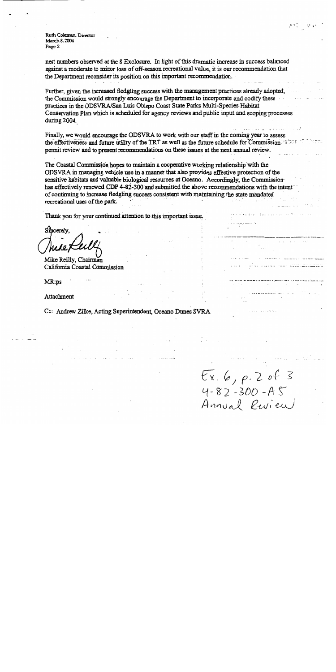Ruth Coleman, Director March 8, 2004 Page 2

nest numbers observed at the 8 Exclosure. In light of this dramatic increase in success balanced against a moderate to minor loss of off-season recreational value, it is our recommendation that the Department reconsider its position on this important recommendation.

Further, given the increased fledgling success with the management practices already adopted, the Commission would strongly encourage the Department to incorporate and codify these practices in the ODSVRA/San Luis Obispo Coast State Parks Multi-Species Habitat Conservation Plan which is scheduled for agency reviews and public input and scoping processes during  $2004$ .

Finally, we would encourage the ODSVRA to work with our staff in the coming year to assess the effectiveness and future utility of the TRT as well as the future schedule for Commission permit review and to present recommendations on these issues at the next annual review.

The Coastal Commission hopes to maintain a cooperative working relationship with the ODSVRA in managing vehicle use in a manner that also provides effective protection of the sensitive habitats and valuable biological resources at Oceano. Accordingly, the Commission has effectively renewed CDP 4-82-300 and submitted the above recommendations with the intent of continuing to increase fledgling success consistent with maintaining the state mandated recreational uses of the park.

Thank you for your continued attention to this important issue.

Sincerely.

Mike Reilly, Chairman California Coastal Commission

MR:ps

Attachment

Cc: Andrew Zilke, Acting Superintendent, Oceano Dunes SVRA

 $Ex.6, p.2 of 3  
4-82-300 - AS  
Annual Review$ 

saturina manazara na manazara

 $2^*$  and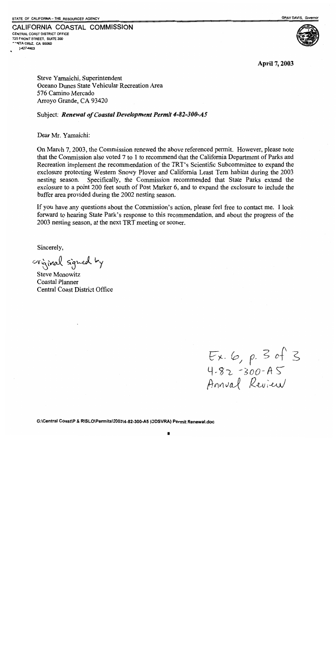CALIFORNIA COASTAL COMMISSION

CENTRAL COAST DISTRICT OFFICE 725 FRONT STREET. SUITE 300 'NTA CRUZ, CA 95060 1427-4863



April 7, 2003

Steve Yamaichi, Superintendent Oceano Dunes State Vehicular Recreation Area 576 Camino Mercado Arroyo Grande, CA 93420

# Subject: Renewal of Coastal Development Permit 4-82-300-A5

Dear Mr. Yamaichi:

On March 7, 2003, the Commission renewed the above referenced permit. However, please note that the Commission also voted 7 to 1 to recommend that the California Department of Parks and Recreation implement the recommendation of the TRT's Scientific Subcommittee to expand the exclosure protecting Western Snowy Plover and California Least Tern habitat during the 2003 nesting season. Specifically, the Commission recommended that State Parks extend the exclosure to a point 200 feet south of Post Marker 6, and to expand the exclosure to include the buffer area provided during the 2002 nesting season.

If you have any questions about the Commission's action, please feel free to contact me. I look forward to hearing State Park's response to this recommendation, and about the progress of the 2003 nesting season, at the next TRT meeting or sooner.

Sincerely,

original signed by

**Steve Monowitz** Coastal Planner **Central Coast District Office** 

 $Ex. 6, p. 3 of 3  
4.82 -300 - AS  
Annual Review$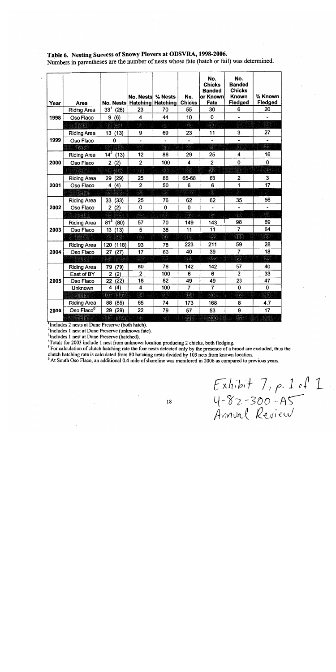| Year | Area                   | No. Nests                        | No. Nests<br>Hatching                                                                                                                                                                                                                | % Nests<br><b>Hatching</b>     | No.<br><b>Chicks</b>            | No.<br><b>Chicks</b><br><b>Banded</b><br>or Known<br>Fate | No.<br><b>Banded</b><br><b>Chicks</b><br><b>Known</b><br>Fledged | % Known<br>Fledged         |
|------|------------------------|----------------------------------|--------------------------------------------------------------------------------------------------------------------------------------------------------------------------------------------------------------------------------------|--------------------------------|---------------------------------|-----------------------------------------------------------|------------------------------------------------------------------|----------------------------|
| 1998 | <b>Riding Area</b>     | $33^1$ (28)                      | 23                                                                                                                                                                                                                                   | 70                             | 55                              | 30                                                        | 6                                                                | 20                         |
|      | Oso Flaco              | 9(6)                             | 4                                                                                                                                                                                                                                    | 44                             | 10                              | $\mathbf 0$                                               |                                                                  |                            |
|      | Total                  | <b>BRA</b>                       | Ŵ,                                                                                                                                                                                                                                   | an<br>C                        | $\mathcal{L}$                   | 31                                                        | ï.                                                               | $\frac{1}{2}$              |
| 1999 | <b>Riding Area</b>     | 13 (13)                          | 9                                                                                                                                                                                                                                    | 69                             | 23                              | 11                                                        | 3                                                                | 27                         |
|      | Oso Flaco              | 0                                |                                                                                                                                                                                                                                      |                                |                                 | $\overline{\phantom{a}}$                                  | $\overline{a}$                                                   | $\ddot{\phantom{0}}$       |
|      |                        | 사는 일이 있다                         |                                                                                                                                                                                                                                      | $\mathcal{L}$                  | en en de la política<br>Espaina |                                                           | en en<br>K                                                       | pania<br>PA                |
| 2000 | <b>Riding Area</b>     | $14^2$ (13)                      | 12                                                                                                                                                                                                                                   | 86                             | 29                              | 25                                                        | 4                                                                | 16                         |
|      | Oso Flaco              | 2(2)                             | 2                                                                                                                                                                                                                                    | 100                            | 4                               | $\overline{\mathbf{c}}$                                   | 0                                                                | 0                          |
|      |                        |                                  | ł.                                                                                                                                                                                                                                   |                                |                                 | i statistike.<br>VIII (m                                  | Z,                                                               | rijano.<br>Geografija      |
| 2001 | <b>Riding Area</b>     | (29)<br>29                       | 25                                                                                                                                                                                                                                   | 86                             | 65-68                           | 63                                                        | 2                                                                | 3                          |
|      | Oso Flaco              | (4)<br>4                         | $\overline{\mathbf{2}}$                                                                                                                                                                                                              | 50                             | 6                               | 6                                                         | 1                                                                | 17                         |
|      |                        | 33 (65)                          | P.                                                                                                                                                                                                                                   | 39                             | ya di k                         | ist.                                                      | ingen.<br>Ka                                                     | ¥.                         |
| 2002 | <b>Riding Area</b>     | 33 (33)                          | 25                                                                                                                                                                                                                                   | 76                             | 62                              | 62                                                        | 35                                                               | 56                         |
|      | Oso Flaco              | 2<br>(2)                         | 0                                                                                                                                                                                                                                    | 0                              | 0                               |                                                           |                                                                  |                            |
|      | sioe)                  | 46 124                           | Ŵ.                                                                                                                                                                                                                                   |                                | 38                              | Ĥ.                                                        | 35                                                               | $\mathbb{R}$               |
| 2003 | <b>Riding Area</b>     | $81^3$<br>(80)                   | 57                                                                                                                                                                                                                                   | 70                             | 149                             | 143                                                       | 98                                                               | 69                         |
|      | Oso Flaco              | (13)<br>13                       | $\overline{5}$                                                                                                                                                                                                                       | 38                             | 11                              | 11                                                        | $\overline{7}$                                                   | 64                         |
|      |                        | 35 IA)                           | en de la posta de la posta de la posta de la posta de la posta de la posta de la posta de la posta de la posta<br>Considerada de la posta de la posta de la posta de la posta de la posta de la posta de la posta de la posta d<br>C | 66                             | T.                              |                                                           | $\mathbb{R}$                                                     | $\mathbb{C}^{n+1}$         |
| 2004 | <b>Riding Area</b>     | (118)<br>120                     | 93                                                                                                                                                                                                                                   | 78                             | 223                             | 211                                                       | 59                                                               | 28                         |
|      | Oso Flaco              | 27<br>(27)                       | 17                                                                                                                                                                                                                                   | 63                             | 40                              | 39                                                        | $\overline{\mathbf{z}}$                                          | 18                         |
|      |                        | 87<br>11.H                       | W                                                                                                                                                                                                                                    | FAR                            | 23.                             | $\mathcal{L}(\cdot)$                                      | 61                                                               | $\mathcal{P}(\mathcal{F})$ |
| 2005 | <b>Riding Area</b>     | (79)<br>79                       | 60                                                                                                                                                                                                                                   | 76                             | 142                             | 142                                                       | 57                                                               | 40                         |
|      | East of BY             | (2)<br>$\mathbf{2}$              | 2                                                                                                                                                                                                                                    | 100                            | 6                               | 6                                                         | $\overline{2}$                                                   | 33                         |
|      | Oso Flaco              | (22)<br>22                       | 18                                                                                                                                                                                                                                   | 82                             | 49                              | 49                                                        | 23                                                               | 47                         |
|      | <b>Unknown</b>         | 4<br>(4)                         | $\overline{\mathbf{4}}$                                                                                                                                                                                                              | 100                            | $\overline{7}$                  | $\overline{7}$                                            | $\overline{0}$                                                   | 0                          |
|      | 10.61                  | TIP.<br>$\mathbb{E}[\mathbf{0}]$ |                                                                                                                                                                                                                                      | 76                             | $\mathcal{L}(\mathbb{X})$       | ANY                                                       | $\mathbb{Z}^2$                                                   | $\mathbb{Z}(\mathbb{C})$   |
| 2006 | <b>Riding Area</b>     | 88<br>(85)                       | 65                                                                                                                                                                                                                                   | 74                             | 173                             | 168                                                       | 8                                                                | 4.7                        |
|      | Oso Flaco <sup>6</sup> | (29)<br>29                       | 22                                                                                                                                                                                                                                   | 79                             | 57                              | 53                                                        | 9                                                                | 17                         |
|      | Total                  | EPACES!                          | $\frac{1}{2}$                                                                                                                                                                                                                        | $\mathcal{L} \in \mathbb{R}^d$ | $2 \times 11$                   | $\mathbb{Z}(\cdot)$                                       | 冷却                                                               | 939                        |

# Table 6. Nesting Success of Snowy Plovers at ODSVRA, 1998-2006.

Numbers in parentheses are the number of nests whose fate (hatch or fail) was determined.

Includes 2 nests at Dune Preserve (both hatch).

<sup>2</sup>Includes 1 nest at Dune Preserve (unknown fate).

<sup>3</sup>Includes 1 nest at Dune Preserve (hatched).

<sup>4</sup>Totals for 2003 include 1 nest from unknown location producing 2 chicks, both fledging.

<sup>5</sup> For calculation of clutch hatching rate the four nests detected only by the presence of a brood are excluded, thus the clutch hatching rate is calculated from 80 hatching nests divided by 103 nets from known location.

<sup>6</sup> At South Oso Flaco, an additional 0.4 mile of shoreline was monitored in 2006 as compared to previous years.

Exhibit 7, p. 1 of 1<br>4-82-300-A5<br>Annval Review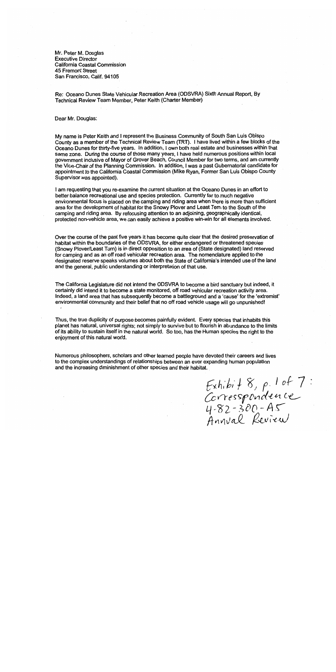Mr. Peter M. Douglas **Executive Director** California Coastal Commission **45 Fremont Street** San Francisco, Calif. 94105

Re: Oceano Dunes State Vehicular Recreation Area (ODSVRA) Sixth Annual Report. By Technical Review Team Member, Peter Keith (Charter Member)

Dear Mr. Douglas:

My name is Peter Keith and I represent the Business Community of South San Luis Obispo County as a member of the Technical Review Team (TRT). I have lived within a few blocks of the Oceano Dunes for thirty-five years. In addition, I own both real estate and businesses within that same zone. During the course of those many years, I have held numerous positions within local government inclusive of Mayor of Grover Beach, Council Member for two terms, and am currently the Vice-Chair of the Planning Commission. In addition, I was a past Gubernatorial candidate for appointment to the California Coastal Commission (Mike Ryan, Former San Luis Obispo County Supervisor was appointed).

I am requesting that you re-examine the current situation at the Oceano Dunes in an effort to better balance recreational use and species protection. Currently far to much negative environmental focus is placed on the camping and riding area when there is more than sufficient area for the development of habitat for the Snowy Plover and Least Tern to the South of the camping and riding area. By refocusing attention to an adioining, geographically identical, protected non-vehicle area, we can easily achieve a positive win-win for all elements involved.

Over the course of the past five years it has become quite clear that the desired preservation of habitat within the boundaries of the ODSVRA, for either endangered or threatened species (Snowy Plover/Least Turn) is in direct opposition to an area of (State designated) land reserved for camping and as an off road vehicular recreation area. The nomenclature applied to the designated reserve speaks volumes about both the State of California's intended use of the land and the general, public understanding or interpretation of that use.

The California Legislature did not intend the ODSVRA to become a bird sanctuary but indeed, it certainly did intend it to become a state monitored, off road vehicular recreation activity area. Indeed, a land area that has subsequently become a battleground and a 'cause' for the 'extremist' environmental community and their belief that no off road vehicle usage will go unpunished!

Thus, the true duplicity of purpose becomes painfully evident. Every species that inhabits this planet has natural, universal rights; not simply to survive but to flourish in abundance to the limits of its ability to sustain itself in the natural world. So too, has the Human species the right to the enjoyment of this natural world.

Numerous philosophers, scholars and other learned people have devoted their careers and lives to the complex understandings of relationships between an ever expanding human population and the increasing diminishment of other species and their habitat.

Exhibit 8, p. 1 of 7:<br>Corresspondence<br>4-82-300-A5<br>Annval Review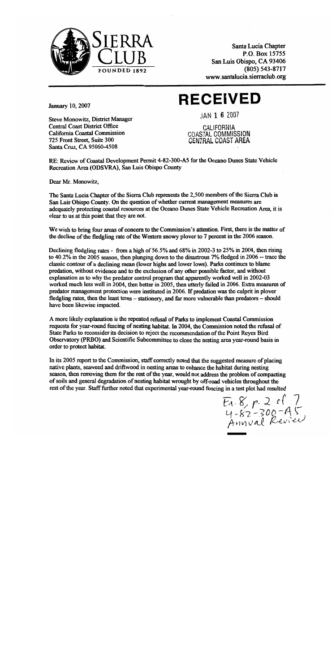

Santa Lucia Chapter P.O. Box 15755 San Luis Obispo, CA 93406  $(805) 543 - 8717$ www.santalucia.sierraclub.org

# **RECEIVED**

**January 10, 2007** 

IAN 1 6 2007

Steve Monowitz, District Manager **Central Coast District Office** California Coastal Commission 725 Front Street, Suite 300 Santa Cruz, CA 95060-4508

CALIFORNIA **COASTAL COMMISSION** CENTRAL COAST AREA

RE: Review of Coastal Development Permit 4-82-300-A5 for the Oceano Dunes State Vehicle Recreation Area (ODSVRA), San Luis Obispo County

Dear Mr. Monowitz,

The Santa Lucia Chapter of the Sierra Club represents the 2,500 members of the Sierra Club in San Luis Obispo County. On the question of whether current management measures are adequately protecting coastal resources at the Oceano Dunes State Vehicle Recreation Area, it is clear to us at this point that they are not.

We wish to bring four areas of concern to the Commission's attention. First, there is the matter of the decline of the fledgling rate of the Western snowy plover to 7 percent in the 2006 season.

Declining fledgling rates - from a high of 56.5% and 68% in 2002-3 to 25% in 2004, then rising to 40.2% in the 2005 season, then plunging down to the disastrous 7% fledged in 2006 -- trace the classic contour of a declining mean (lower highs and lower lows). Parks continues to blame predation, without evidence and to the exclusion of any other possible factor, and without explanation as to why the predator control program that apparently worked well in 2002-03 worked much less well in 2004, then better in 2005, then utterly failed in 2006. Extra measures of predator management protection were instituted in 2006. If predation was the culprit in ployer fledgling rates, then the least terns - stationery, and far more vulnerable than predators - should have been likewise impacted.

A more likely explanation is the repeated refusal of Parks to implement Coastal Commission requests for year-round fencing of nesting habitat. In 2004, the Commission noted the refusal of State Parks to reconsider its decision to reject the recommendation of the Point Reyes Bird Observatory (PRBO) and Scientific Subcommittee to close the nesting area year-round basis in order to protect habitat.

In its 2005 report to the Commission, staff correctly noted that the suggested measure of placing native plants, seaweed and driftwood in nesting areas to enhance the habitat during nesting season, then removing them for the rest of the year, would not address the problem of compacting of soils and general degradation of nesting habitat wrought by off-road vehicles throughout the rest of the year. Staff further noted that experimental year-round fencing in a test plot had resulted

 $E_1.8, p.2$  of 7<br>4-82-300-45<br>Annval Review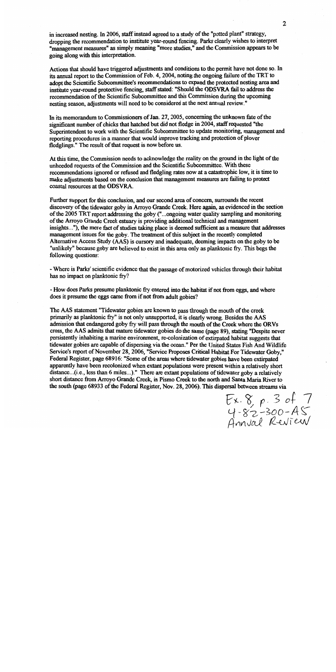in increased nesting. In 2006, staff instead agreed to a study of the "potted plant" strategy. dropping the recommendation to institute year-round fencing. Parks clearly wishes to interpret "management measures" as simply meaning "more studies," and the Commission appears to be going along with this interpretation.

Actions that should have triggered adjustments and conditions to the permit have not done so. In its annual report to the Commission of Feb. 4, 2004, noting the ongoing failure of the TRT to adopt the Scientific Subcommittee's recommendations to expand the protected nesting area and institute year-round protective fencing, staff stated: "Should the ODSVRA fail to address the recommendation of the Scientific Subcommittee and this Commission during the upcoming nesting season, adjustments will need to be considered at the next annual review."

In its memorandum to Commissioners of Jan. 27, 2005, concerning the unknown fate of the significant number of chicks that hatched but did not fledge in 2004, staff requested "the Superintendent to work with the Scientific Subcommittee to update monitoring, management and reporting procedures in a manner that would improve tracking and protection of plover fledglings." The result of that request is now before us.

At this time, the Commission needs to acknowledge the reality on the ground in the light of the unheeded requests of the Commission and the Scientific Subcommittee. With these recommendations ignored or refused and fledgling rates now at a catastrophic low, it is time to make adjustments based on the conclusion that management measures are failing to protect coastal resources at the ODSVRA.

Further support for this conclusion, and our second area of concern, surrounds the recent discovery of the tidewater goby in Arroyo Grande Creek. Here again, as evidenced in the section of the 2005 TRT report addressing the goby ("...ongoing water quality sampling and monitoring of the Arroyo Grande Creek estuary is providing additional technical and management insights..."), the mere fact of studies taking place is deemed sufficient as a measure that addresses management issues for the goby. The treatment of this subject in the recently completed Alternative Access Study (AAS) is cursory and inadequate, deeming impacts on the goby to be "unlikely" because goby are believed to exist in this area only as planktonic fry. This begs the following questions:

- Where is Parks' scientific evidence that the passage of motorized vehicles through their habitat has no impact on planktonic fry?

- How does Parks presume planktonic fry entered into the habitat if not from eggs, and where does it presume the eggs came from if not from adult gobies?

The AAS statement "Tidewater gobies are known to pass through the mouth of the creek primarily as planktonic fry" is not only unsupported, it is clearly wrong. Besides the AAS admission that endangered goby fry will pass through the mouth of the Creek where the ORVs cross, the AAS admits that mature tidewater gobies do the same (page 89), stating "Despite never persistently inhabiting a marine environment, re-colonization of extirpated habitat suggests that tidewater gobies are capable of dispersing via the ocean." Per the United States Fish And Wildlife Service's report of November 28, 2006, "Service Proposes Critical Habitat For Tidewater Goby," Federal Register, page 68916: "Some of the areas where tidewater gobies have been extirpated apparently have been recolonized when extant populations were present within a relatively short distance... $(i.e.,$  less than 6 miles...)." There are extant populations of tidewater goby a relatively short distance from Arroyo Grande Creek, in Pismo Creek to the north and Santa Maria River to the south (page 68933 of the Federal Register, Nov. 28, 2006). This dispersal between streams via

 $Ex.8, p.3 of 7  
4.82 - 300 - AS  
Annual Review$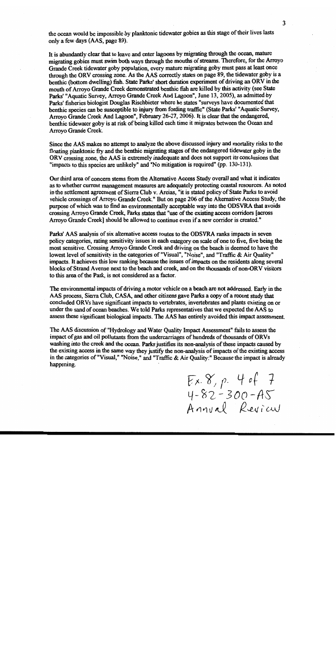the ocean would be impossible by planktonic tidewater gobies as this stage of their lives lasts only a few days (AAS, page 89).

It is abundantly clear that to leave and enter lagoons by migrating through the ocean, mature migrating gobies must swim both ways through the mouths of streams. Therefore, for the Arroyo Grande Creek tidewater goby population, every mature migrating goby must pass at least once through the ORV crossing zone. As the AAS correctly states on page 89, the tidewater goby is a benthic (bottom dwelling) fish. State Parks' short duration experiment of driving an ORV in the mouth of Arrovo Grande Creek demonstrated benthic fish are killed by this activity (see State Parks' "Aquatic Survey, Arroyo Grande Creek And Lagoon", June 13, 2005), as admitted by Parks' fisheries biologist Douglas Rischbieter where he states "surveys have documented that benthic species can be susceptible to injury from fording traffic" (State Parks' "Aquatic Survey, Arroyo Grande Creek And Lagoon", February 26-27, 2006). It is clear that the endangered. benthic tidewater goby is at risk of being killed each time it migrates between the Ocean and Arroyo Grande Creek.

Since the AAS makes no attempt to analyze the above discussed injury and mortality risks to the floating planktonic fry and the benthic migrating stages of the endangered tidewater goby in the ORV crossing zone, the AAS is extremely inadequate and does not support its conclusions that "impacts to this species are unlikely" and "No mitigation is required" (pp. 130-131).

Our third area of concern stems from the Alternative Access Study overall and what it indicates as to whether current management measures are adequately protecting coastal resources. As noted in the settlement agreement of Sierra Club v. Areias, "it is stated policy of State Parks to avoid vehicle crossings of Arroyo Grande Creek." But on page 206 of the Alternative Access Study, the purpose of which was to find an environmentally acceptable way into the ODSVRA that avoids crossing Arroyo Grande Creek, Parks states that "use of the existing access corridors [across] Arroyo Grande Creek] should be allowed to continue even if a new corridor is created."

Parks' AAS analysis of six alternative access routes to the ODSVRA ranks impacts in seven policy categories, rating sensitivity issues in each category on scale of one to five, five being the most sensitive. Crossing Arroyo Grande Creek and driving on the beach is deemed to have the lowest level of sensitivity in the categories of "Visual", "Noise", and "Traffic & Air Quality" impacts. It achieves this low ranking because the issues of impacts on the residents along several blocks of Strand Avenue next to the beach and creek, and on the thousands of non-ORV visitors to this area of the Park, is not considered as a factor.

The environmental impacts of driving a motor vehicle on a beach are not addressed. Early in the AAS process, Sierra Club, CASA, and other citizens gave Parks a copy of a recent study that concluded ORVs have significant impacts to vertebrates, invertebrates and plants existing on or under the sand of ocean beaches. We told Parks representatives that we expected the AAS to assess these significant biological impacts. The AAS has entirely avoided this impact assessment.

The AAS discussion of "Hydrology and Water Ouality Impact Assessment" fails to assess the impact of gas and oil pollutants from the undercarriages of hundreds of thousands of ORVs washing into the creek and the ocean. Parks justifies its non-analysis of these impacts caused by the existing access in the same way they justify the non-analysis of impacts of the existing access in the categories of "Visual," "Noise," and "Traffic & Air Quality:" Because the impact is already happening.

Ex. 8, p. 4 of 7<br>4-82-300-A5<br>Annval Review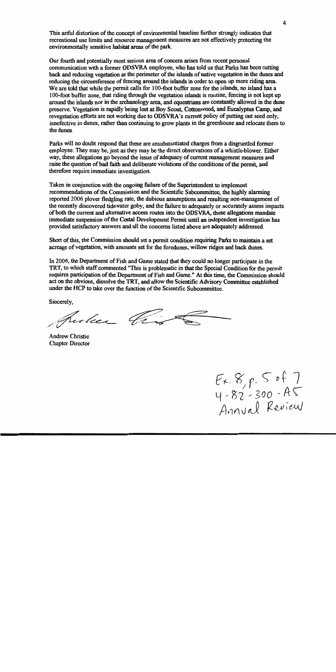This artful distortion of the concept of environmental baseline further strongly indicates that recreational use limits and resource management measures are not effectively protecting the environmentally sensitive habitat areas of the park.

Our fourth and potentially most serious area of concern arises from recent personal communication with a former ODSVRA employee, who has told us that Parks has been cutting back and reducing vegetation at the perimeter of the islands of native vegetation in the dunes and reducing the circumference of fencing around the islands in order to open up more riding area. We are told that while the permit calls for 100-foot buffer zone for the islands, no island has a 100-foot buffer zone, that riding through the vegetation islands is routine, fencing is not kept up around the islands nor in the archaeology area, and equestrians are constantly allowed in the dune preserve. Vegetation is rapidly being lost at Boy Scout, Cottonwood, and Eucalyptus Camp, and revegetation efforts are not working due to ODSVRA's current policy of putting out seed only. innefective in dunes, rather than continuing to grow plants in the greenhouse and relocate them to the dunes.

Parks will no doubt respond that these are unsubstantiated charges from a disgruntled former employee. They may be, just as they may be the direct observations of a whistle-blower. Either way, these allegations go beyond the issue of adequacy of current management measures and raise the question of bad faith and deliberate violations of the conditions of the permit, and therefore require immediate investigation.

Taken in conjunction with the ongoing failure of the Superintendent to implement recommendations of the Commission and the Scientific Subcommittee, the highly alarming reported 2006 ployer fledgling rate, the dubious assumptions and resulting non-management of the recently discovered tidewater goby, and the failure to adequately or accurately assess impacts of both the current and alternative access routes into the ODSVRA, these allegations mandate immediate suspension of the Costal Development Permit until an independent investigation has provided satisfactory answers and all the concerns listed above are adequately addressed.

Short of this, the Commission should set a permit condition requiring Parks to maintain a set acreage of vegetation, with amounts set for the foredunes, willow ridges and back dunes.

In 2006, the Department of Fish and Game stated that they could no longer participate in the TRT, to which staff commented "This is problematic in that the Special Condition for the permit requires participation of the Department of Fish and Game." At this time, the Commission should act on the obvious, dissolve the TRT, and allow the Scientific Advisory Committee established under the HCP to take over the function of the Scientific Subcommittee.

Sincerely,

pula Ching

**Andrew Christie Chapter Director** 

 $E x. 8, p. 5 of 7  
4.82.300 - AS  
Annual Review$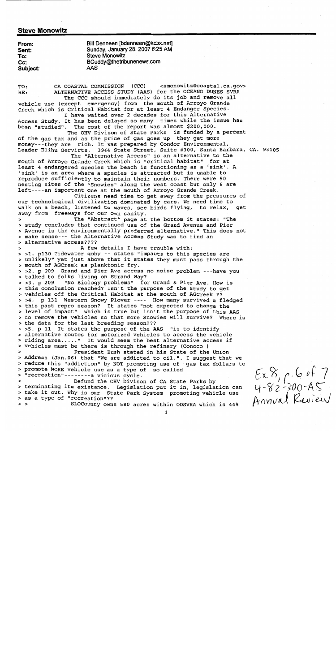# **Steve Monowitz**

| From:    | Bill Denneen [bdenneen@kcbx.net] |
|----------|----------------------------------|
| Sent:    | Sunday, January 28, 2007 6:25 AM |
| To:      | <b>Steve Monowitz</b>            |
| $Cc$ :   | BCuddy@thetribunenews.com        |
| Subject: | AAS                              |

CA COASTAL COMMISSION (CCC) <smonowitz@coastal.ca.gov> TO: ALTERNATIVE ACCESS STUDY (AAS) for the OCEANO DUNES SVRA RE: The CCC should immediately do its job and remove all

vehicle use (except emergency) from the mouth of Arroyo Grande Creek which is Critical Habitat for at least 4 Endanger Species. I have waited over 2 decades for this Alternative

Access Study. It has been delayed so many times while the issue has been "studied". The cost of the report was almost \$200,000.

The OHV Divison of State Parks is funded by a percent of the gas tax and as the price of gas goes up they get more money---they are rich. It was prepared by Condor Environmental, Leader Elihu Gervirts, 3944 State Street, Suite #300, Santa Barbara, CA. 93105

The "Alternative Access" is an alternative to the mouth of Arroyo Grande Creek which is "critical habitat" for at least 4 endangered species The beach is functioning as a 'sink'. A 'sink' is an area where a species is attracted but is unable to reproduce sufficiently to maintain their numbers. There were 50 nesting sites of the "Snowies" along the west coast but only 8 are left----an important one at the mouth of Arroyo Grande Creek.

Citizens need time to get away from the pressures of our technological civilization dominated by cars. We need time to walk on a beach, listened to waves, see birds flying, to relax, qet away from freeways for our own sanity.

The "Abstract" page at the bottom it states: "The  $\rightarrow$ > study concludes that continued use of the Grand Avenue and Pier > Avenue is the environmentally preferred alternative." This does not > make sense--- the Alternative Access Study was to find an > alternative access????

A few details I have trouble with: > >1. p130 Tidewater goby -- states "impacts to this species are > unlikely" yet just above that it states they must pass through the > mouth of AGCreek as planktonic fry.

> >2. p 209 Grand and Pier Ave access no noise problem ---have you > talked to folks living on Strand Way?

"No Biology problems" for Grand & Pier Ave. How is  $> 3. p 209$ > this conclusion reached? Isn't the purpose of the study to get > vehicles off the Critical Habitat at the mouth of AGCreek ?? > >4. p 131 Western Snowy Plover ---- How many survived & fledged > this past repro season? It states "not expected to change the > level of impact" which is true but isn't the purpose of this AAS > to remove the vehicles so that more Snowies will survive? Where is > the data for the last breeding season???

> >5. p 11 It states the purpose of the AAS "is to identify > alternative routes for motorized vehicles to access the vehicle > riding area....." It would seem the best alternative access if > vehicles must be there is through the refinery (Conoco )

President Bush stated in his State of the Union  $\overline{ }$ > Address (Jan.06) that "We are addicted to oil.". I suggest that we > reduce this "addiction" by NOT promoting use of gas tax dollars to > promote MORE vehicle use as a type of so called > "recreation"--------a vicious cycle.

Defund the OHV Divison of CA State Parks by > terminating its existance. Legislation put it in, legislation can > take it out. Why is our State Park System promoting vehicle use > as a type of "recreation"??  $>$  >

SLOCounty owns 580 acres within ODSVRA which is 44%

 $\mathbf{1}$ 

 $Ex.8, p.6 of 7  
4-82-300-AS  
Annual Reuieu$